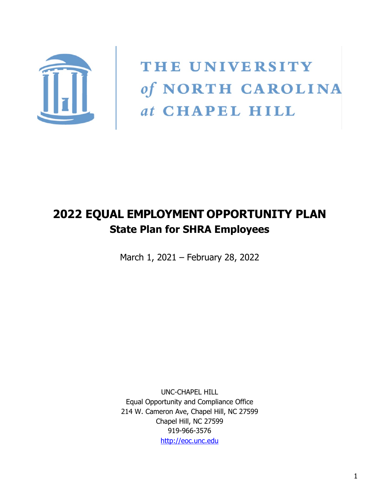

THE UNIVERSITY of NORTH CAROLINA at CHAPEL HILL

# **2022 EQUAL EMPLOYMENT OPPORTUNITY PLAN State Plan for SHRA Employees**

March 1, 2021 – February 28, 2022

UNC-CHAPEL HILL Equal Opportunity and Compliance Office 214 W. Cameron Ave, Chapel Hill, NC 27599 Chapel Hill, NC 27599 919-966-3576 [http://eoc.unc.edu](http://eoc.unc.edu/)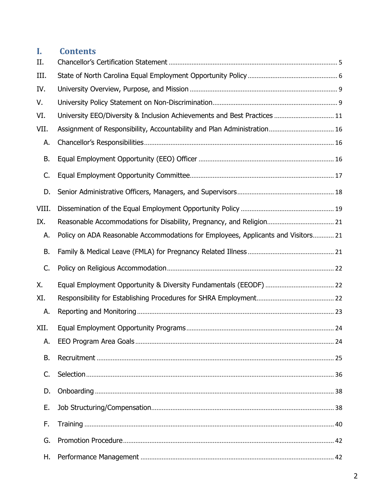## **I. Contents**

| II.       |                                                                                   |  |
|-----------|-----------------------------------------------------------------------------------|--|
| III.      |                                                                                   |  |
| IV.       |                                                                                   |  |
| V.        |                                                                                   |  |
| VI.       | University EEO/Diversity & Inclusion Achievements and Best Practices  11          |  |
| VII.      |                                                                                   |  |
| А.        |                                                                                   |  |
| <b>B.</b> |                                                                                   |  |
| C.        |                                                                                   |  |
| D.        |                                                                                   |  |
| VIII.     |                                                                                   |  |
| IX.       |                                                                                   |  |
| А.        | Policy on ADA Reasonable Accommodations for Employees, Applicants and Visitors 21 |  |
| <b>B.</b> |                                                                                   |  |
|           |                                                                                   |  |
| C.        |                                                                                   |  |
| Χ.        |                                                                                   |  |
| XI.       |                                                                                   |  |
| А.        |                                                                                   |  |
| XII.      |                                                                                   |  |
| A.        |                                                                                   |  |
| <b>B.</b> |                                                                                   |  |
| C.        |                                                                                   |  |
| D.        |                                                                                   |  |
| Ε.        |                                                                                   |  |
| F.        |                                                                                   |  |
| G.        |                                                                                   |  |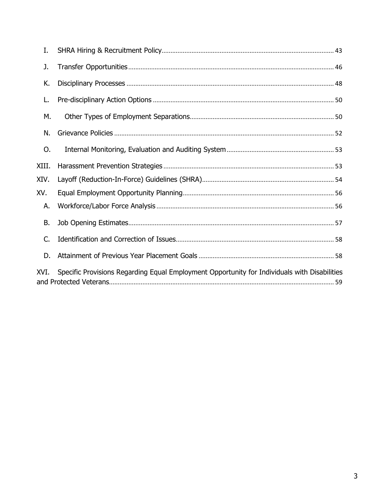| I.        |                                                                                              |
|-----------|----------------------------------------------------------------------------------------------|
| J.        |                                                                                              |
| К.        |                                                                                              |
| L.        |                                                                                              |
| М.        |                                                                                              |
| N.        |                                                                                              |
| 0.        |                                                                                              |
| XIII.     |                                                                                              |
| XIV.      |                                                                                              |
| XV.       |                                                                                              |
| А.        |                                                                                              |
| <b>B.</b> |                                                                                              |
| C.        |                                                                                              |
| D.        |                                                                                              |
| XVI.      | Specific Provisions Regarding Equal Employment Opportunity for Individuals with Disabilities |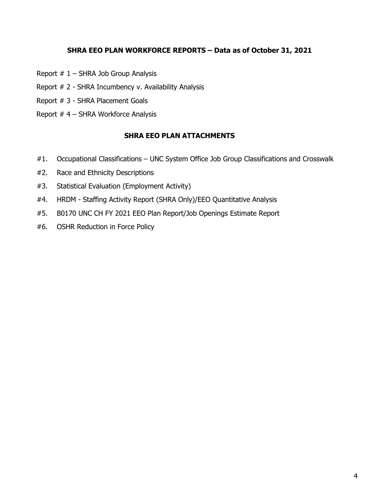#### **SHRA EEO PLAN WORKFORCE REPORTS – Data as of October 31, 2021**

- Report  $# 1 SHRA$  Job Group Analysis
- Report # 2 SHRA Incumbency v. Availability Analysis
- Report # 3 SHRA Placement Goals
- Report # 4 SHRA Workforce Analysis

#### **SHRA EEO PLAN ATTACHMENTS**

- #1. Occupational Classifications UNC System Office Job Group Classifications and Crosswalk
- #2. Race and Ethnicity Descriptions
- #3. Statistical Evaluation (Employment Activity)
- #4. HRDM Staffing Activity Report (SHRA Only)/EEO Quantitative Analysis
- #5. B0170 UNC CH FY 2021 EEO Plan Report/Job Openings Estimate Report
- #6. OSHR Reduction in Force Policy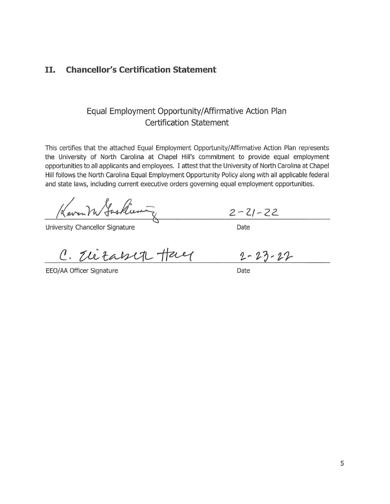#### II. **Chancellor's Certification Statement**

### Equal Employment Opportunity/Affirmative Action Plan **Certification Statement**

This certifies that the attached Equal Employment Opportunity/Affirmative Action Plan represents the University of North Carolina at Chapel Hill's commitment to provide equal employment opportunities to all applicants and employees. I attest that the University of North Carolina at Chapel Hill follows the North Carolina Equal Employment Opportunity Policy along with all applicable federal and state laws, including current executive orders governing equal employment opportunities.

Kaven M Justices

University Chancellor Signature

C. The taken Hay

EEO/AA Officer Signature

 $2 - 21 - 22$ 

Date

 $2 - 23 - 27$ 

Date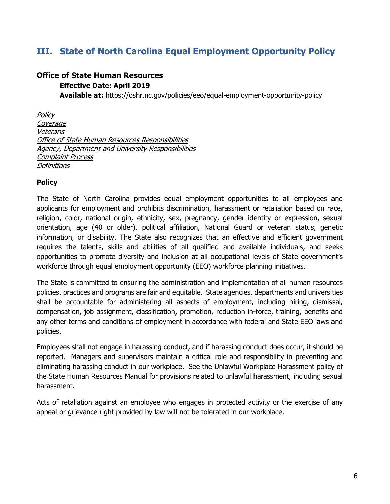## <span id="page-5-0"></span>**III. State of North Carolina Equal Employment Opportunity Policy**

#### **Office of State Human Resources**

#### **Effective Date: April 2019**

**Available at:** https://oshr.nc.gov/policies/eeo/equal-employment-opportunity-policy

**Policy** Coverage Veterans Office of State Human Resources Responsibilities Agency, Department and University Responsibilities Complaint Process **Definitions** 

#### **Policy**

The State of North Carolina provides equal employment opportunities to all employees and applicants for employment and prohibits discrimination, harassment or retaliation based on race, religion, color, national origin, ethnicity, sex, pregnancy, gender identity or expression, sexual orientation, age (40 or older), political affiliation, National Guard or veteran status, genetic information, or disability. The State also recognizes that an effective and efficient government requires the talents, skills and abilities of all qualified and available individuals, and seeks opportunities to promote diversity and inclusion at all occupational levels of State government's workforce through equal employment opportunity (EEO) workforce planning initiatives.

The State is committed to ensuring the administration and implementation of all human resources policies, practices and programs are fair and equitable. State agencies, departments and universities shall be accountable for administering all aspects of employment, including hiring, dismissal, compensation, job assignment, classification, promotion, reduction in-force, training, benefits and any other terms and conditions of employment in accordance with federal and State EEO laws and policies.

Employees shall not engage in harassing conduct, and if harassing conduct does occur, it should be reported. Managers and supervisors maintain a critical role and responsibility in preventing and eliminating harassing conduct in our workplace. See the Unlawful Workplace Harassment policy of the State Human Resources Manual for provisions related to unlawful harassment, including sexual harassment.

Acts of retaliation against an employee who engages in protected activity or the exercise of any appeal or grievance right provided by law will not be tolerated in our workplace.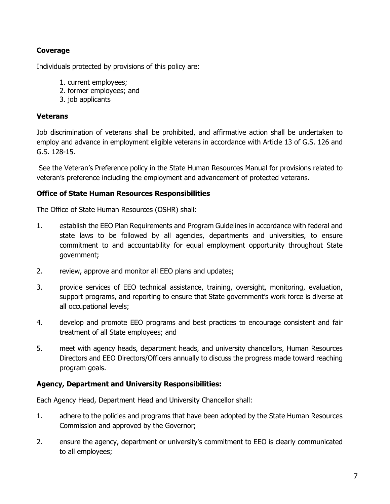#### **Coverage**

Individuals protected by provisions of this policy are:

- 1. current employees;
- 2. former employees; and
- 3. job applicants

#### **Veterans**

Job discrimination of veterans shall be prohibited, and affirmative action shall be undertaken to employ and advance in employment eligible veterans in accordance with Article 13 of G.S. 126 and G.S. 128-15.

See the Veteran's Preference policy in the State Human Resources Manual for provisions related to veteran's preference including the employment and advancement of protected veterans.

#### **Office of State Human Resources Responsibilities**

The Office of State Human Resources (OSHR) shall:

- 1. establish the EEO Plan Requirements and Program Guidelines in accordance with federal and state laws to be followed by all agencies, departments and universities, to ensure commitment to and accountability for equal employment opportunity throughout State government;
- 2. review, approve and monitor all EEO plans and updates;
- 3. provide services of EEO technical assistance, training, oversight, monitoring, evaluation, support programs, and reporting to ensure that State government's work force is diverse at all occupational levels;
- 4. develop and promote EEO programs and best practices to encourage consistent and fair treatment of all State employees; and
- 5. meet with agency heads, department heads, and university chancellors, Human Resources Directors and EEO Directors/Officers annually to discuss the progress made toward reaching program goals.

#### **Agency, Department and University Responsibilities:**

Each Agency Head, Department Head and University Chancellor shall:

- 1. adhere to the policies and programs that have been adopted by the State Human Resources Commission and approved by the Governor;
- 2. ensure the agency, department or university's commitment to EEO is clearly communicated to all employees;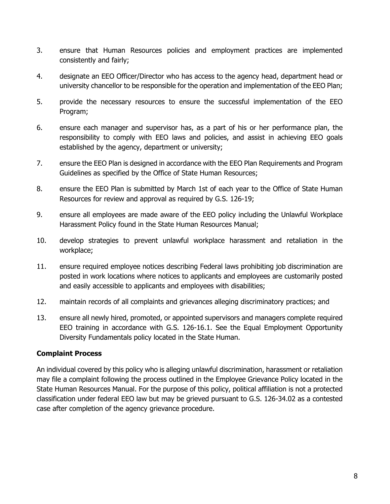- 3. ensure that Human Resources policies and employment practices are implemented consistently and fairly;
- 4. designate an EEO Officer/Director who has access to the agency head, department head or university chancellor to be responsible for the operation and implementation of the EEO Plan;
- 5. provide the necessary resources to ensure the successful implementation of the EEO Program;
- 6. ensure each manager and supervisor has, as a part of his or her performance plan, the responsibility to comply with EEO laws and policies, and assist in achieving EEO goals established by the agency, department or university;
- 7. ensure the EEO Plan is designed in accordance with the EEO Plan Requirements and Program Guidelines as specified by the Office of State Human Resources;
- 8. ensure the EEO Plan is submitted by March 1st of each year to the Office of State Human Resources for review and approval as required by G.S. 126-19;
- 9. ensure all employees are made aware of the EEO policy including the Unlawful Workplace Harassment Policy found in the State Human Resources Manual;
- 10. develop strategies to prevent unlawful workplace harassment and retaliation in the workplace;
- 11. ensure required employee notices describing Federal laws prohibiting job discrimination are posted in work locations where notices to applicants and employees are customarily posted and easily accessible to applicants and employees with disabilities;
- 12. maintain records of all complaints and grievances alleging discriminatory practices; and
- 13. ensure all newly hired, promoted, or appointed supervisors and managers complete required EEO training in accordance with G.S. 126-16.1. See the Equal Employment Opportunity Diversity Fundamentals policy located in the State Human.

#### **Complaint Process**

An individual covered by this policy who is alleging unlawful discrimination, harassment or retaliation may file a complaint following the process outlined in the Employee Grievance Policy located in the State Human Resources Manual. For the purpose of this policy, political affiliation is not a protected classification under federal EEO law but may be grieved pursuant to G.S. 126-34.02 as a contested case after completion of the agency grievance procedure.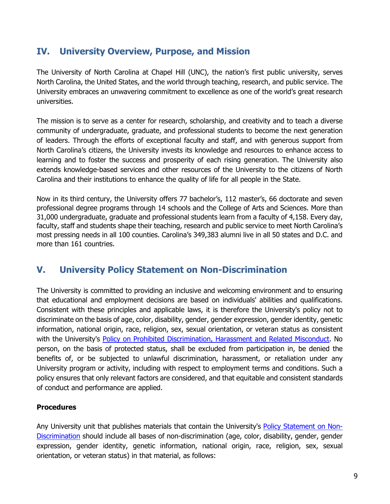## <span id="page-8-0"></span>**IV. University Overview, Purpose, and Mission**

The University of North Carolina at Chapel Hill (UNC), the nation's first public university, serves North Carolina, the United States, and the world through teaching, research, and public service. The University embraces an unwavering commitment to excellence as one of the world's great research universities.

The mission is to serve as a center for research, scholarship, and creativity and to teach a diverse community of undergraduate, graduate, and professional students to become the next generation of leaders. Through the efforts of exceptional faculty and staff, and with generous support from North Carolina's citizens, the University invests its knowledge and resources to enhance access to learning and to foster the success and prosperity of each rising generation. The University also extends knowledge-based services and other resources of the University to the citizens of North Carolina and their institutions to enhance the quality of life for all people in the State.

Now in its third century, the University offers 77 bachelor's, 112 master's, 66 doctorate and seven professional degree programs through 14 schools and the College of Arts and Sciences. More than 31,000 undergraduate, graduate and professional students learn from a faculty of 4,158. Every day, faculty, staff and students shape their teaching, research and public service to meet North Carolina's most pressing needs in all 100 counties. Carolina's 349,383 alumni live in all 50 states and D.C. and more than 161 countries.

## <span id="page-8-1"></span>**V. University Policy Statement on Non-Discrimination**

The University is committed to providing an inclusive and welcoming environment and to ensuring that educational and employment decisions are based on individuals' abilities and qualifications. Consistent with these principles and applicable laws, it is therefore the University's policy not to discriminate on the basis of age, color, disability, gender, gender expression, gender identity, genetic information, national origin, race, religion, sex, sexual orientation, or veteran status as consistent with the University's [Policy on Prohibited Discrimination, Harassment and Related Misconduct.](https://policies.unc.edu/TDClient/2833/Portal/KB/ArticleDet?ID=132487#autoid-drq2r) No person, on the basis of protected status, shall be excluded from participation in, be denied the benefits of, or be subjected to unlawful discrimination, harassment, or retaliation under any University program or activity, including with respect to employment terms and conditions. Such a policy ensures that only relevant factors are considered, and that equitable and consistent standards of conduct and performance are applied.

#### **Procedures**

Any University unit that publishes materials that contain the University's [Policy Statement on Non-](https://policies.unc.edu/TDClient/2833/Portal/KB/ArticleDet?ID=131717)[Discrimination](https://policies.unc.edu/TDClient/2833/Portal/KB/ArticleDet?ID=131717) should include all bases of non-discrimination (age, color, disability, gender, gender expression, gender identity, genetic information, national origin, race, religion, sex, sexual orientation, or veteran status) in that material, as follows: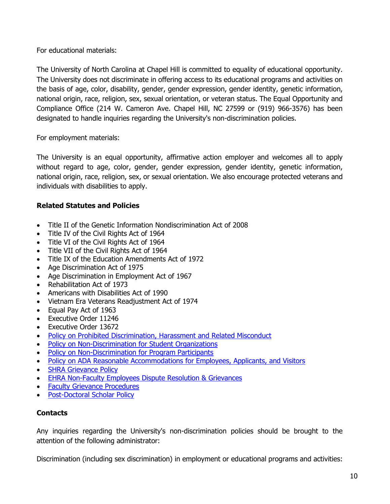For educational materials:

The University of North Carolina at Chapel Hill is committed to equality of educational opportunity. The University does not discriminate in offering access to its educational programs and activities on the basis of age, color, disability, gender, gender expression, gender identity, genetic information, national origin, race, religion, sex, sexual orientation, or veteran status. The Equal Opportunity and Compliance Office (214 W. Cameron Ave. Chapel Hill, NC 27599 or (919) 966-3576) has been designated to handle inquiries regarding the University's non-discrimination policies.

For employment materials:

The University is an equal opportunity, affirmative action employer and welcomes all to apply without regard to age, color, gender, gender expression, gender identity, genetic information, national origin, race, religion, sex, or sexual orientation. We also encourage protected veterans and individuals with disabilities to apply.

#### **Related Statutes and Policies**

- Title II of the Genetic Information Nondiscrimination Act of 2008
- Title IV of the Civil Rights Act of 1964
- Title VI of the Civil Rights Act of 1964
- Title VII of the Civil Rights Act of 1964
- Title IX of the Education Amendments Act of 1972
- Age Discrimination Act of 1975
- Age Discrimination in Employment Act of 1967
- Rehabilitation Act of 1973
- Americans with Disabilities Act of 1990
- Vietnam Era Veterans Readjustment Act of 1974
- Equal Pay Act of 1963
- Executive Order 11246
- Executive Order 13672
- [Policy on Prohibited Discrimination, Harassment and Related Misconduct](https://unc.policystat.com/policy/4514917/latest/)
- [Policy on Non-Discrimination for Student Organizations](https://unc.policystat.com/policy/5429623/latest/)
- [Policy on Non-Discrimination for Program Participants](https://unc.policystat.com/policy/4469242/latest/)
- [Policy on ADA Reasonable Accommodations for Employees, Applicants, and Visitors](https://unc.policystat.com/policy/4468010/latest/)
- **[SHRA Grievance Policy](https://unc.policystat.com/policy/5230165/latest/)**
- [EHRA Non-Faculty Employees Dispute Resolution & Grievances](https://unc.policystat.com/policy/4483428/latest/)
- [Faculty Grievance Procedures](https://facultygov.unc.edu/committees/elected-committees/faculty-grievance-committee/procedures-for-the-faculty-grievance-committee/)
- [Post-Doctoral Scholar Policy](https://unc.policystat.com/policy/4492399/latest/)

#### **Contacts**

Any inquiries regarding the University's non-discrimination policies should be brought to the attention of the following administrator:

Discrimination (including sex discrimination) in employment or educational programs and activities: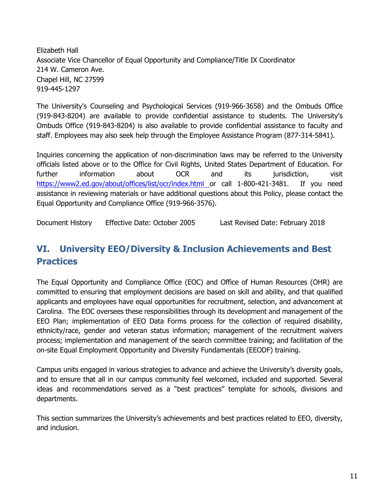Elizabeth Hall Associate Vice Chancellor of Equal Opportunity and Compliance/Title IX Coordinator 214 W. Cameron Ave. Chapel Hill, NC 27599 919-445-1297

The University's Counseling and Psychological Services (919-966-3658) and the Ombuds Office (919-843-8204) are available to provide confidential assistance to students. The University's Ombuds Office (919-843-8204) is also available to provide confidential assistance to faculty and staff. Employees may also seek help through the Employee Assistance Program (877-314-5841).

Inquiries concerning the application of non-discrimination laws may be referred to the University officials listed above or to the Office for Civil Rights, United States Department of Education. For further information about OCR and its jurisdiction, visit <https://www2.ed.gov/about/offices/list/ocr/index.html> or call 1-800-421-3481. If you need assistance in reviewing materials or have additional questions about this Policy, please contact the Equal Opportunity and Compliance Office (919-966-3576).

<span id="page-10-0"></span>Document History Effective Date: October 2005 Last Revised Date: February 2018

## **VI. University EEO/Diversity & Inclusion Achievements and Best Practices**

The Equal Opportunity and Compliance Office (EOC) and Office of Human Resources (OHR) are committed to ensuring that employment decisions are based on skill and ability, and that qualified applicants and employees have equal opportunities for recruitment, selection, and advancement at Carolina. The EOC oversees these responsibilities through its development and management of the EEO Plan; implementation of EEO Data Forms process for the collection of required disability, ethnicity/race, gender and veteran status information; management of the recruitment waivers process; implementation and management of the search committee training; and facilitation of the on-site Equal Employment Opportunity and Diversity Fundamentals (EEODF) training.

Campus units engaged in various strategies to advance and achieve the University's diversity goals, and to ensure that all in our campus community feel welcomed, included and supported. Several ideas and recommendations served as a "best practices" template for schools, divisions and departments.

This section summarizes the University's achievements and best practices related to EEO, diversity, and inclusion.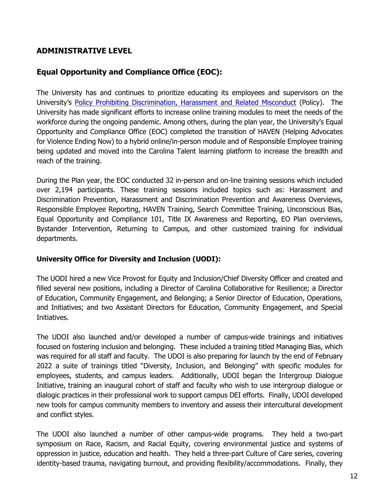### **ADMINISTRATIVE LEVEL**

### **Equal Opportunity and Compliance Office (EOC):**

The University has and continues to prioritize educating its employees and supervisors on the University's [Policy Prohibiting Discrimination, Harassment and Related Misconduct](https://unc.policystat.com/policy/7019871/latest/) (Policy). The University has made significant efforts to increase online training modules to meet the needs of the workforce during the ongoing pandemic. Among others, during the plan year, the University's Equal Opportunity and Compliance Office (EOC) completed the transition of HAVEN (Helping Advocates for Violence Ending Now) to a hybrid online/in-person module and of Responsible Employee training being updated and moved into the Carolina Talent learning platform to increase the breadth and reach of the training.

During the Plan year, the EOC conducted 32 in-person and on-line training sessions which included over 2,194 participants. These training sessions included topics such as: Harassment and Discrimination Prevention, Harassment and Discrimination Prevention and Awareness Overviews, Responsible Employee Reporting, HAVEN Training, Search Committee Training, Unconscious Bias, Equal Opportunity and Compliance 101, Title IX Awareness and Reporting, EO Plan overviews, Bystander Intervention, Returning to Campus, and other customized training for individual departments.

#### **University Office for Diversity and Inclusion (UODI):**

The UODI hired a new Vice Provost for Equity and Inclusion/Chief Diversity Officer and created and filled several new positions, including a Director of Carolina Collaborative for Resilience; a Director of Education, Community Engagement, and Belonging; a Senior Director of Education, Operations, and Initiatives; and two Assistant Directors for Education, Community Engagement, and Special Initiatives.

The UDOI also launched and/or developed a number of campus-wide trainings and initiatives focused on fostering inclusion and belonging. These included a training titled Managing Bias, which was required for all staff and faculty. The UDOI is also preparing for launch by the end of February 2022 a suite of trainings titled "Diversity, Inclusion, and Belonging" with specific modules for employees, students, and campus leaders. Additionally, UDOI began the Intergroup Dialogue Initiative, training an inaugural cohort of staff and faculty who wish to use intergroup dialogue or dialogic practices in their professional work to support campus DEI efforts. Finally, UDOI developed new tools for campus community members to inventory and assess their intercultural development and conflict styles.

The UDOI also launched a number of other campus-wide programs. They held a two-part symposium on Race, Racism, and Racial Equity, covering environmental justice and systems of oppression in justice, education and health. They held a three-part Culture of Care series, covering identity-based trauma, navigating burnout, and providing flexibility/accommodations. Finally, they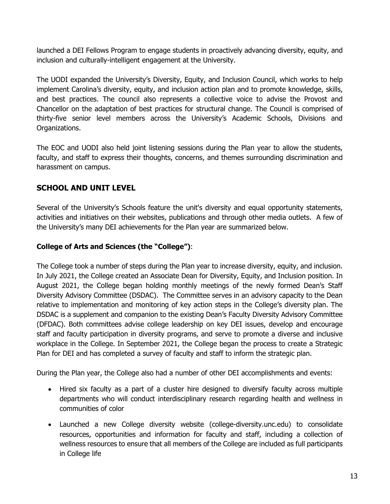launched a DEI Fellows Program to engage students in proactively advancing diversity, equity, and inclusion and culturally-intelligent engagement at the University.

The UODI expanded the University's Diversity, Equity, and Inclusion Council, which works to help implement Carolina's diversity, equity, and inclusion action plan and to promote knowledge, skills, and best practices. The council also represents a collective voice to advise the Provost and Chancellor on the adaptation of best practices for structural change. The Council is comprised of thirty-five senior level members across the University's Academic Schools, Divisions and Organizations.

The EOC and UODI also held joint listening sessions during the Plan year to allow the students, faculty, and staff to express their thoughts, concerns, and themes surrounding discrimination and harassment on campus.

### **SCHOOL AND UNIT LEVEL**

Several of the University's Schools feature the unit's diversity and equal opportunity statements, activities and initiatives on their websites, publications and through other media outlets. A few of the University's many DEI achievements for the Plan year are summarized below.

#### **College of Arts and Sciences (the "College")**:

The College took a number of steps during the Plan year to increase diversity, equity, and inclusion. In July 2021, the College created an Associate Dean for Diversity, Equity, and Inclusion position. In August 2021, the College began holding monthly meetings of the newly formed Dean's Staff Diversity Advisory Committee (DSDAC). The Committee serves in an advisory capacity to the Dean relative to implementation and monitoring of key action steps in the College's diversity plan. The DSDAC is a supplement and companion to the existing Dean's Faculty Diversity Advisory Committee (DFDAC). Both committees advise college leadership on key DEI issues, develop and encourage staff and faculty participation in diversity programs, and serve to promote a diverse and inclusive workplace in the College. In September 2021, the College began the process to create a Strategic Plan for DEI and has completed a survey of faculty and staff to inform the strategic plan.

During the Plan year, the College also had a number of other DEI accomplishments and events:

- Hired six faculty as a part of a cluster hire designed to diversify faculty across multiple departments who will conduct interdisciplinary research regarding health and wellness in communities of color
- Launched a new College diversity website (college-diversity.unc.edu) to consolidate resources, opportunities and information for faculty and staff, including a collection of wellness resources to ensure that all members of the College are included as full participants in College life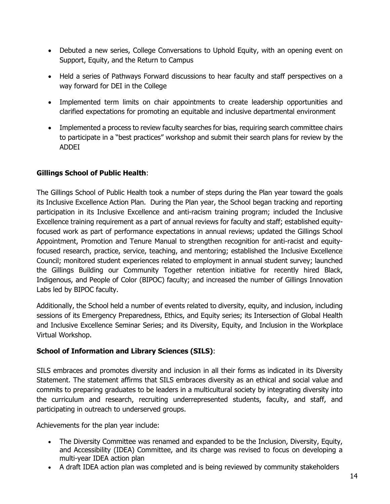- Debuted a new series, College Conversations to Uphold Equity, with an opening event on Support, Equity, and the Return to Campus
- Held a series of Pathways Forward discussions to hear faculty and staff perspectives on a way forward for DEI in the College
- Implemented term limits on chair appointments to create leadership opportunities and clarified expectations for promoting an equitable and inclusive departmental environment
- Implemented a process to review faculty searches for bias, requiring search committee chairs to participate in a "best practices" workshop and submit their search plans for review by the ADDEI

### **Gillings School of Public Health**:

The Gillings School of Public Health took a number of steps during the Plan year toward the goals its Inclusive Excellence Action Plan. During the Plan year, the School began tracking and reporting participation in its Inclusive Excellence and anti-racism training program; included the Inclusive Excellence training requirement as a part of annual reviews for faculty and staff; established equityfocused work as part of performance expectations in annual reviews; updated the Gillings School Appointment, Promotion and Tenure Manual to strengthen recognition for anti-racist and equityfocused research, practice, service, teaching, and mentoring; established the Inclusive Excellence Council; monitored student experiences related to employment in annual student survey; launched the Gillings Building our Community Together retention initiative for recently hired Black, Indigenous, and People of Color (BIPOC) faculty; and increased the number of Gillings Innovation Labs led by BIPOC faculty.

Additionally, the School held a number of events related to diversity, equity, and inclusion, including sessions of its Emergency Preparedness, Ethics, and Equity series; its Intersection of Global Health and Inclusive Excellence Seminar Series; and its Diversity, Equity, and Inclusion in the Workplace Virtual Workshop.

#### **School of Information and Library Sciences (SILS)**:

SILS embraces and promotes diversity and inclusion in all their forms as indicated in its Diversity Statement. The statement affirms that SILS embraces diversity as an ethical and social value and commits to preparing graduates to be leaders in a multicultural society by integrating diversity into the curriculum and research, recruiting underrepresented students, faculty, and staff, and participating in outreach to underserved groups.

Achievements for the plan year include:

- The Diversity Committee was renamed and expanded to be the Inclusion, Diversity, Equity, and Accessibility (IDEA) Committee, and its charge was revised to focus on developing a multi-year IDEA action plan
- A draft IDEA action plan was completed and is being reviewed by community stakeholders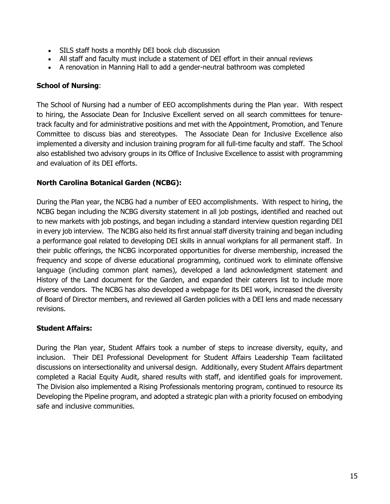- SILS staff hosts a monthly DEI book club discussion
- All staff and faculty must include a statement of DEI effort in their annual reviews
- A renovation in Manning Hall to add a gender-neutral bathroom was completed

#### **School of Nursing**:

The School of Nursing had a number of EEO accomplishments during the Plan year. With respect to hiring, the Associate Dean for Inclusive Excellent served on all search committees for tenuretrack faculty and for administrative positions and met with the Appointment, Promotion, and Tenure Committee to discuss bias and stereotypes. The Associate Dean for Inclusive Excellence also implemented a diversity and inclusion training program for all full-time faculty and staff. The School also established two advisory groups in its Office of Inclusive Excellence to assist with programming and evaluation of its DEI efforts.

#### **North Carolina Botanical Garden (NCBG):**

During the Plan year, the NCBG had a number of EEO accomplishments. With respect to hiring, the NCBG began including the NCBG diversity statement in all job postings, identified and reached out to new markets with job postings, and began including a standard interview question regarding DEI in every job interview. The NCBG also held its first annual staff diversity training and began including a performance goal related to developing DEI skills in annual workplans for all permanent staff. In their public offerings, the NCBG incorporated opportunities for diverse membership, increased the frequency and scope of diverse educational programming, continued work to eliminate offensive language (including common plant names), developed a land acknowledgment statement and History of the Land document for the Garden, and expanded their caterers list to include more diverse vendors. The NCBG has also developed a webpage for its DEI work, increased the diversity of Board of Director members, and reviewed all Garden policies with a DEI lens and made necessary revisions.

#### **Student Affairs:**

During the Plan year, Student Affairs took a number of steps to increase diversity, equity, and inclusion. Their DEI Professional Development for Student Affairs Leadership Team facilitated discussions on intersectionality and universal design. Additionally, every Student Affairs department completed a Racial Equity Audit, shared results with staff, and identified goals for improvement. The Division also implemented a Rising Professionals mentoring program, continued to resource its Developing the Pipeline program, and adopted a strategic plan with a priority focused on embodying safe and inclusive communities.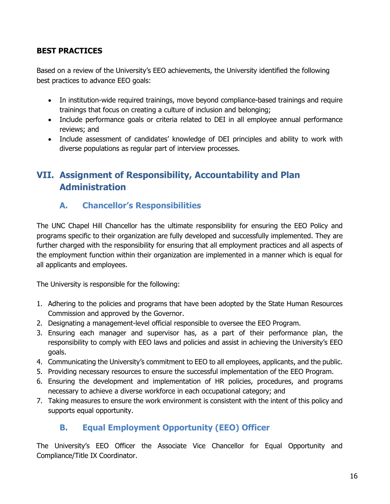### **BEST PRACTICES**

Based on a review of the University's EEO achievements, the University identified the following best practices to advance EEO goals:

- In institution-wide required trainings, move beyond compliance-based trainings and require trainings that focus on creating a culture of inclusion and belonging;
- Include performance goals or criteria related to DEI in all employee annual performance reviews; and
- Include assessment of candidates' knowledge of DEI principles and ability to work with diverse populations as regular part of interview processes.

## <span id="page-15-1"></span><span id="page-15-0"></span>**VII. Assignment of Responsibility, Accountability and Plan Administration**

### **A. Chancellor's Responsibilities**

The UNC Chapel Hill Chancellor has the ultimate responsibility for ensuring the EEO Policy and programs specific to their organization are fully developed and successfully implemented. They are further charged with the responsibility for ensuring that all employment practices and all aspects of the employment function within their organization are implemented in a manner which is equal for all applicants and employees.

The University is responsible for the following:

- 1. Adhering to the policies and programs that have been adopted by the State Human Resources Commission and approved by the Governor.
- 2. Designating a management-level official responsible to oversee the EEO Program.
- 3. Ensuring each manager and supervisor has, as a part of their performance plan, the responsibility to comply with EEO laws and policies and assist in achieving the University's EEO goals.
- 4. Communicating the University's commitment to EEO to all employees, applicants, and the public.
- 5. Providing necessary resources to ensure the successful implementation of the EEO Program.
- 6. Ensuring the development and implementation of HR policies, procedures, and programs necessary to achieve a diverse workforce in each occupational category; and
- <span id="page-15-2"></span>7. Taking measures to ensure the work environment is consistent with the intent of this policy and supports equal opportunity.

## **B. Equal Employment Opportunity (EEO) Officer**

The University's EEO Officer the Associate Vice Chancellor for Equal Opportunity and Compliance/Title IX Coordinator.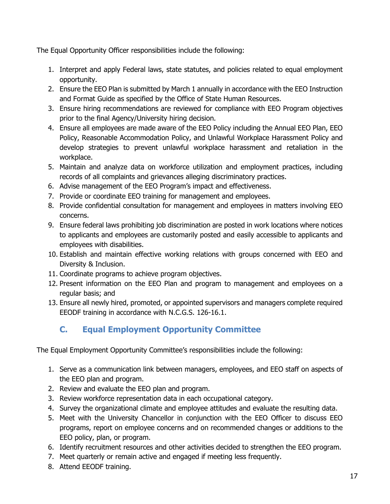The Equal Opportunity Officer responsibilities include the following:

- 1. Interpret and apply Federal laws, state statutes, and policies related to equal employment opportunity.
- 2. Ensure the EEO Plan is submitted by March 1 annually in accordance with the EEO Instruction and Format Guide as specified by the Office of State Human Resources.
- 3. Ensure hiring recommendations are reviewed for compliance with EEO Program objectives prior to the final Agency/University hiring decision.
- 4. Ensure all employees are made aware of the EEO Policy including the Annual EEO Plan, EEO Policy, Reasonable Accommodation Policy, and Unlawful Workplace Harassment Policy and develop strategies to prevent unlawful workplace harassment and retaliation in the workplace.
- 5. Maintain and analyze data on workforce utilization and employment practices, including records of all complaints and grievances alleging discriminatory practices.
- 6. Advise management of the EEO Program's impact and effectiveness.
- 7. Provide or coordinate EEO training for management and employees.
- 8. Provide confidential consultation for management and employees in matters involving EEO concerns.
- 9. Ensure federal laws prohibiting job discrimination are posted in work locations where notices to applicants and employees are customarily posted and easily accessible to applicants and employees with disabilities.
- 10. Establish and maintain effective working relations with groups concerned with EEO and Diversity & Inclusion.
- 11. Coordinate programs to achieve program objectives.
- 12. Present information on the EEO Plan and program to management and employees on a regular basis; and
- <span id="page-16-0"></span>13. Ensure all newly hired, promoted, or appointed supervisors and managers complete required EEODF training in accordance with N.C.G.S. 126-16.1.

## **C. Equal Employment Opportunity Committee**

The Equal Employment Opportunity Committee's responsibilities include the following:

- 1. Serve as a communication link between managers, employees, and EEO staff on aspects of the EEO plan and program.
- 2. Review and evaluate the EEO plan and program.
- 3. Review workforce representation data in each occupational category.
- 4. Survey the organizational climate and employee attitudes and evaluate the resulting data.
- 5. Meet with the University Chancellor in conjunction with the EEO Officer to discuss EEO programs, report on employee concerns and on recommended changes or additions to the EEO policy, plan, or program.
- 6. Identify recruitment resources and other activities decided to strengthen the EEO program.
- 7. Meet quarterly or remain active and engaged if meeting less frequently.
- 8. Attend EEODF training.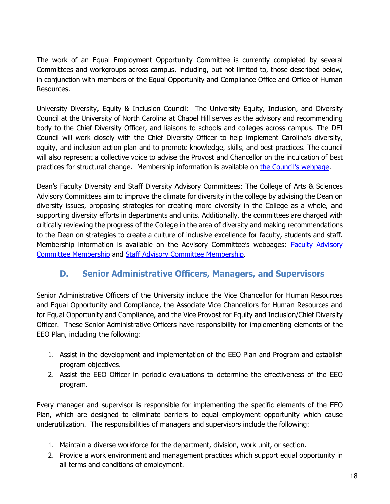The work of an Equal Employment Opportunity Committee is currently completed by several Committees and workgroups across campus, including, but not limited to, those described below, in conjunction with members of the Equal Opportunity and Compliance Office and Office of Human Resources.

University Diversity, Equity & Inclusion Council: The University Equity, Inclusion, and Diversity Council at the University of North Carolina at Chapel Hill serves as the advisory and recommending body to the Chief Diversity Officer, and liaisons to schools and colleges across campus. The DEI Council will work closely with the Chief Diversity Officer to help implement Carolina's diversity, equity, and inclusion action plan and to promote knowledge, skills, and best practices. The council will also represent a collective voice to advise the Provost and Chancellor on the inculcation of best practices for structural change. Membership information is available on [the Council's webpage.](https://diversity.unc.edu/university-diversity-equity-and-inclusion-council/)

Dean's Faculty Diversity and Staff Diversity Advisory Committees: The College of Arts & Sciences Advisory Committees aim to improve the climate for diversity in the college by advising the Dean on diversity issues, proposing strategies for creating more diversity in the College as a whole, and supporting diversity efforts in departments and units. Additionally, the committees are charged with critically reviewing the progress of the College in the area of diversity and making recommendations to the Dean on strategies to create a culture of inclusive excellence for faculty, students and staff. Membership information is available on the Advisory Committee's webpages: [Faculty Advisory](https://college-diversity.unc.edu/faculty-advisory-committee/)  [Committee Membership](https://college-diversity.unc.edu/faculty-advisory-committee/) and [Staff Advisory Committee Membership.](https://college-diversity.unc.edu/staff-advisory-committee/)

## **D. Senior Administrative Officers, Managers, and Supervisors**

<span id="page-17-0"></span>Senior Administrative Officers of the University include the Vice Chancellor for Human Resources and Equal Opportunity and Compliance, the Associate Vice Chancellors for Human Resources and for Equal Opportunity and Compliance, and the Vice Provost for Equity and Inclusion/Chief Diversity Officer. These Senior Administrative Officers have responsibility for implementing elements of the EEO Plan, including the following:

- 1. Assist in the development and implementation of the EEO Plan and Program and establish program objectives.
- 2. Assist the EEO Officer in periodic evaluations to determine the effectiveness of the EEO program.

Every manager and supervisor is responsible for implementing the specific elements of the EEO Plan, which are designed to eliminate barriers to equal employment opportunity which cause underutilization. The responsibilities of managers and supervisors include the following:

- 1. Maintain a diverse workforce for the department, division, work unit, or section.
- 2. Provide a work environment and management practices which support equal opportunity in all terms and conditions of employment.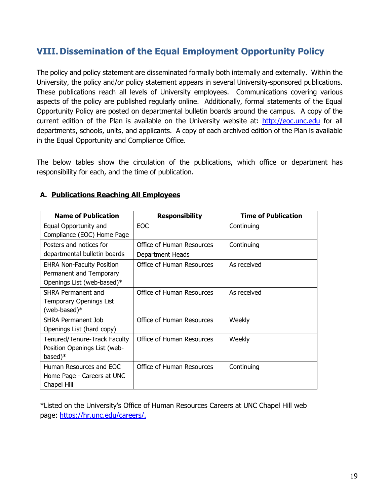## <span id="page-18-0"></span>**VIII.Dissemination of the Equal Employment Opportunity Policy**

The policy and policy statement are disseminated formally both internally and externally. Within the University, the policy and/or policy statement appears in several University-sponsored publications. These publications reach all levels of University employees. Communications covering various aspects of the policy are published regularly online. Additionally, formal statements of the Equal Opportunity Policy are posted on departmental bulletin boards around the campus. A copy of the current edition of the Plan is available on the University website at: [http://eoc.unc.edu](http://eoc.unc.edu/) for all departments, schools, units, and applicants. A copy of each archived edition of the Plan is available in the Equal Opportunity and Compliance Office.

The below tables show the circulation of the publications, which office or department has responsibility for each, and the time of publication.

| <b>Name of Publication</b>                                                                | <b>Responsibility</b>                         | <b>Time of Publication</b> |
|-------------------------------------------------------------------------------------------|-----------------------------------------------|----------------------------|
| Equal Opportunity and<br>Compliance (EOC) Home Page                                       | EOC.                                          | Continuing                 |
| Posters and notices for<br>departmental bulletin boards                                   | Office of Human Resources<br>Department Heads | Continuing                 |
| <b>EHRA Non-Faculty Position</b><br>Permanent and Temporary<br>Openings List (web-based)* | <b>Office of Human Resources</b>              | As received                |
| SHRA Permanent and<br>Temporary Openings List<br>(web-based)*                             | Office of Human Resources                     | As received                |
| SHRA Permanent Job<br>Openings List (hard copy)                                           | Office of Human Resources                     | Weekly                     |
| Tenured/Tenure-Track Faculty<br>Position Openings List (web-<br>based)*                   | Office of Human Resources                     | Weekly                     |
| Human Resources and EOC<br>Home Page - Careers at UNC<br>Chapel Hill                      | Office of Human Resources                     | Continuing                 |

#### **A. Publications Reaching All Employees**

\*Listed on the University's Office of Human Resources Careers at UNC Chapel Hill web page: [https://hr.unc.edu/careers/.](https://hr.unc.edu/careers/)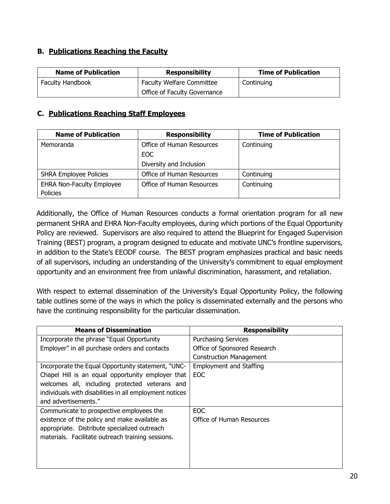#### **B. Publications Reaching the Faculty**

| <b>Name of Publication</b> | <b>Responsibility</b>            | <b>Time of Publication</b> |
|----------------------------|----------------------------------|----------------------------|
| <b>Faculty Handbook</b>    | <b>Faculty Welfare Committee</b> | Continuing                 |
|                            | Office of Faculty Governance     |                            |

#### **C. Publications Reaching Staff Employees**

| <b>Name of Publication</b>             | <b>Responsibility</b>     | <b>Time of Publication</b> |
|----------------------------------------|---------------------------|----------------------------|
| Office of Human Resources<br>Memoranda |                           | Continuing                 |
|                                        | EOC.                      |                            |
|                                        | Diversity and Inclusion   |                            |
| <b>SHRA Employee Policies</b>          | Office of Human Resources | Continuing                 |
| <b>EHRA Non-Faculty Employee</b>       | Office of Human Resources | Continuing                 |
| Policies                               |                           |                            |

Additionally, the Office of Human Resources conducts a formal orientation program for all new permanent SHRA and EHRA Non-Faculty employees, during which portions of the Equal Opportunity Policy are reviewed. Supervisors are also required to attend the Blueprint for Engaged Supervision Training (BEST) program, a program designed to educate and motivate UNC's frontline supervisors, in addition to the State's EEODF course. The BEST program emphasizes practical and basic needs of all supervisors, including an understanding of the University's commitment to equal employment opportunity and an environment free from unlawful discrimination, harassment, and retaliation.

With respect to external dissemination of the University's Equal Opportunity Policy, the following table outlines some of the ways in which the policy is disseminated externally and the persons who have the continuing responsibility for the particular dissemination.

| <b>Means of Dissemination</b>                           | <b>Responsibility</b>          |
|---------------------------------------------------------|--------------------------------|
| Incorporate the phrase "Equal Opportunity"              | <b>Purchasing Services</b>     |
| Employer" in all purchase orders and contacts           | Office of Sponsored Research   |
|                                                         | <b>Construction Management</b> |
| Incorporate the Equal Opportunity statement, "UNC-      | <b>Employment and Staffing</b> |
| Chapel Hill is an equal opportunity employer that       | EOC.                           |
| welcomes all, including protected veterans and          |                                |
| individuals with disabilities in all employment notices |                                |
| and advertisements."                                    |                                |
| Communicate to prospective employees the                | EOC.                           |
| existence of the policy and make available as           | Office of Human Resources      |
| appropriate. Distribute specialized outreach            |                                |
| materials. Facilitate outreach training sessions.       |                                |
|                                                         |                                |
|                                                         |                                |
|                                                         |                                |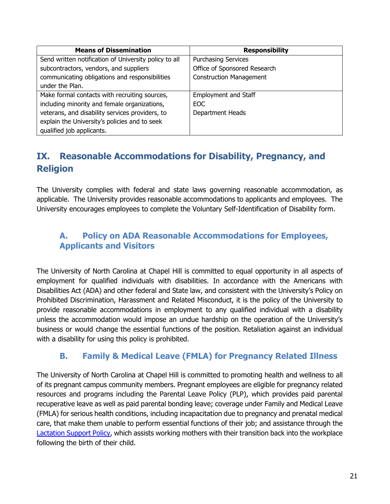| <b>Means of Dissemination</b>                         | <b>Responsibility</b>          |
|-------------------------------------------------------|--------------------------------|
| Send written notification of University policy to all | <b>Purchasing Services</b>     |
| subcontractors, vendors, and suppliers                | Office of Sponsored Research   |
| communicating obligations and responsibilities        | <b>Construction Management</b> |
| under the Plan.                                       |                                |
| Make formal contacts with recruiting sources,         | <b>Employment and Staff</b>    |
| including minority and female organizations,          | EOC.                           |
| veterans, and disability services providers, to       | Department Heads               |
| explain the University's policies and to seek         |                                |
| qualified job applicants.                             |                                |

## <span id="page-20-0"></span>**IX. Reasonable Accommodations for Disability, Pregnancy, and Religion**

The University complies with federal and state laws governing reasonable accommodation, as applicable. The University provides reasonable accommodations to applicants and employees. The University encourages employees to complete the Voluntary Self-Identification of Disability form.

### <span id="page-20-1"></span>**A. Policy on ADA Reasonable Accommodations for Employees, Applicants and Visitors**

The University of North Carolina at Chapel Hill is committed to equal opportunity in all aspects of employment for qualified individuals with disabilities. In accordance with the Americans with Disabilities Act (ADA) and other federal and State law, and consistent with the University's Policy on Prohibited Discrimination, Harassment and Related Misconduct, it is the policy of the University to provide reasonable accommodations in employment to any qualified individual with a disability unless the accommodation would impose an undue hardship on the operation of the University's business or would change the essential functions of the position. Retaliation against an individual with a disability for using this policy is prohibited.

### **B. Family & Medical Leave (FMLA) for Pregnancy Related Illness**

<span id="page-20-2"></span>The University of North Carolina at Chapel Hill is committed to promoting health and wellness to all of its pregnant campus community members. Pregnant employees are eligible for pregnancy related resources and programs including the Parental Leave Policy (PLP), which provides paid parental recuperative leave as well as paid parental bonding leave; coverage under Family and Medical Leave (FMLA) for serious health conditions, including incapacitation due to pregnancy and prenatal medical care, that make them unable to perform essential functions of their job; and assistance through the [Lactation Support Policy,](https://policies.unc.edu/TDClient/2833/Portal/KB/ArticleDet?ID=131768) which assists working mothers with their transition back into the workplace following the birth of their child.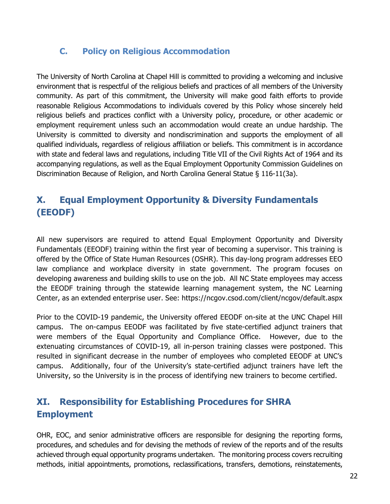### <span id="page-21-0"></span>**C. Policy on Religious Accommodation**

The University of North Carolina at Chapel Hill is committed to providing a welcoming and inclusive environment that is respectful of the religious beliefs and practices of all members of the University community. As part of this commitment, the University will make good faith efforts to provide reasonable Religious Accommodations to individuals covered by this Policy whose sincerely held religious beliefs and practices conflict with a University policy, procedure, or other academic or employment requirement unless such an accommodation would create an undue hardship. The University is committed to diversity and nondiscrimination and supports the employment of all qualified individuals, regardless of religious affiliation or beliefs. This commitment is in accordance with state and federal laws and regulations, including Title VII of the Civil Rights Act of 1964 and its accompanying regulations, as well as the Equal Employment Opportunity Commission Guidelines on Discrimination Because of Religion, and North Carolina General Statue § 116-11(3a).

## <span id="page-21-1"></span>**X. Equal Employment Opportunity & Diversity Fundamentals (EEODF)**

All new supervisors are required to attend Equal Employment Opportunity and Diversity Fundamentals (EEODF) training within the first year of becoming a supervisor. This training is offered by the Office of State Human Resources (OSHR). This day-long program addresses EEO law compliance and workplace diversity in state government. The program focuses on developing awareness and building skills to use on the job. All NC State employees may access the EEODF training through the statewide learning management system, the NC Learning Center, as an extended enterprise user. See: https://ncgov.csod.com/client/ncgov/default.aspx

Prior to the COVID-19 pandemic, the University offered EEODF on-site at the UNC Chapel Hill campus. The on-campus EEODF was facilitated by five state-certified adjunct trainers that were members of the Equal Opportunity and Compliance Office. However, due to the extenuating circumstances of COVID-19, all in-person training classes were postponed. This resulted in significant decrease in the number of employees who completed EEODF at UNC's campus. Additionally, four of the University's state-certified adjunct trainers have left the University, so the University is in the process of identifying new trainers to become certified.

## <span id="page-21-2"></span>**XI. Responsibility for Establishing Procedures for SHRA Employment**

OHR, EOC, and senior administrative officers are responsible for designing the reporting forms, procedures, and schedules and for devising the methods of review of the reports and of the results achieved through equal opportunity programs undertaken. The monitoring process covers recruiting methods, initial appointments, promotions, reclassifications, transfers, demotions, reinstatements,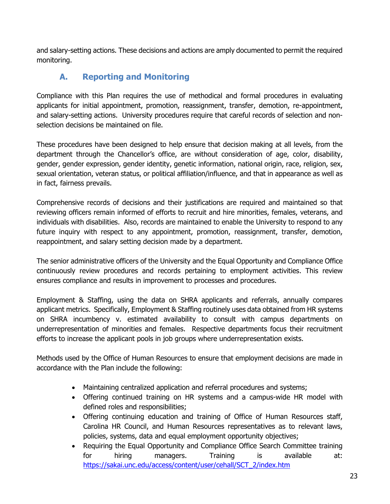<span id="page-22-0"></span>and salary-setting actions. These decisions and actions are amply documented to permit the required monitoring.

## **A. Reporting and Monitoring**

Compliance with this Plan requires the use of methodical and formal procedures in evaluating applicants for initial appointment, promotion, reassignment, transfer, demotion, re-appointment, and salary-setting actions. University procedures require that careful records of selection and nonselection decisions be maintained on file.

These procedures have been designed to help ensure that decision making at all levels, from the department through the Chancellor's office, are without consideration of age, color, disability, gender, gender expression, gender identity, genetic information, national origin, race, religion, sex, sexual orientation, veteran status, or political affiliation/influence, and that in appearance as well as in fact, fairness prevails.

Comprehensive records of decisions and their justifications are required and maintained so that reviewing officers remain informed of efforts to recruit and hire minorities, females, veterans, and individuals with disabilities. Also, records are maintained to enable the University to respond to any future inquiry with respect to any appointment, promotion, reassignment, transfer, demotion, reappointment, and salary setting decision made by a department.

The senior administrative officers of the University and the Equal Opportunity and Compliance Office continuously review procedures and records pertaining to employment activities. This review ensures compliance and results in improvement to processes and procedures.

Employment & Staffing, using the data on SHRA applicants and referrals, annually compares applicant metrics. Specifically, Employment & Staffing routinely uses data obtained from HR systems on SHRA incumbency v. estimated availability to consult with campus departments on underrepresentation of minorities and females. Respective departments focus their recruitment efforts to increase the applicant pools in job groups where underrepresentation exists.

Methods used by the Office of Human Resources to ensure that employment decisions are made in accordance with the Plan include the following:

- Maintaining centralized application and referral procedures and systems;
- Offering continued training on HR systems and a campus-wide HR model with defined roles and responsibilities;
- Offering continuing education and training of Office of Human Resources staff, Carolina HR Council, and Human Resources representatives as to relevant laws, policies, systems, data and equal employment opportunity objectives;
- Requiring the Equal Opportunity and Compliance Office Search Committee training for hiring managers. Training is available at: [https://sakai.unc.edu/access/content/user/cehall/SCT\\_2/index.htm](https://sakai.unc.edu/access/content/user/cehall/SCT_2/index.htm)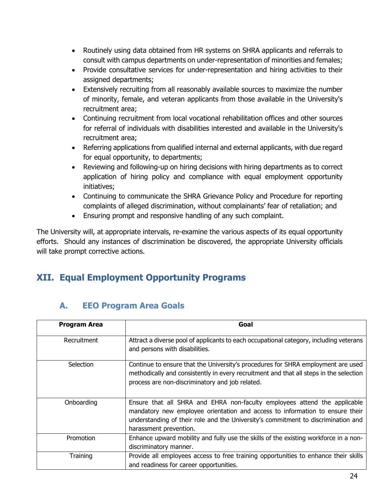- Routinely using data obtained from HR systems on SHRA applicants and referrals to consult with campus departments on under-representation of minorities and females;
- Provide consultative services for under-representation and hiring activities to their assigned departments;
- Extensively recruiting from all reasonably available sources to maximize the number of minority, female, and veteran applicants from those available in the University's recruitment area;
- Continuing recruitment from local vocational rehabilitation offices and other sources for referral of individuals with disabilities interested and available in the University's recruitment area;
- Referring applications from qualified internal and external applicants, with due regard for equal opportunity, to departments;
- Reviewing and following-up on hiring decisions with hiring departments as to correct application of hiring policy and compliance with equal employment opportunity initiatives;
- Continuing to communicate the SHRA Grievance Policy and Procedure for reporting complaints of alleged discrimination, without complainants' fear of retaliation; and
- Ensuring prompt and responsive handling of any such complaint.

The University will, at appropriate intervals, re-examine the various aspects of its equal opportunity efforts. Should any instances of discrimination be discovered, the appropriate University officials will take prompt corrective actions.

## <span id="page-23-1"></span><span id="page-23-0"></span>**XII. Equal Employment Opportunity Programs**

### **A. EEO Program Area Goals**

| <b>Program Area</b> | Goal                                                                                                                                                                                                                                                                     |
|---------------------|--------------------------------------------------------------------------------------------------------------------------------------------------------------------------------------------------------------------------------------------------------------------------|
| Recruitment         | Attract a diverse pool of applicants to each occupational category, including veterans<br>and persons with disabilities.                                                                                                                                                 |
| Selection           | Continue to ensure that the University's procedures for SHRA employment are used<br>methodically and consistently in every recruitment and that all steps in the selection<br>process are non-discriminatory and job related.                                            |
| Onboarding          | Ensure that all SHRA and EHRA non-faculty employees attend the applicable<br>mandatory new employee orientation and access to information to ensure their<br>understanding of their role and the University's commitment to discrimination and<br>harassment prevention. |
| Promotion           | Enhance upward mobility and fully use the skills of the existing workforce in a non-<br>discriminatory manner.                                                                                                                                                           |
| Training            | Provide all employees access to free training opportunities to enhance their skills<br>and readiness for career opportunities.                                                                                                                                           |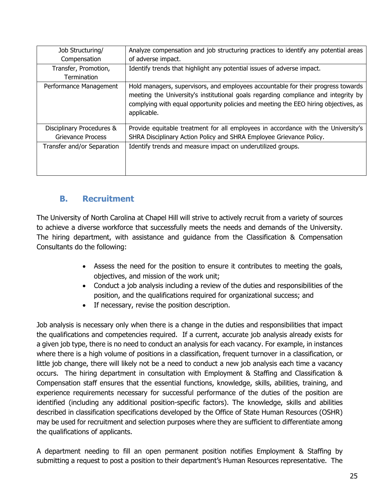| Job Structuring/           | Analyze compensation and job structuring practices to identify any potential areas                                                                                                                                                                                           |
|----------------------------|------------------------------------------------------------------------------------------------------------------------------------------------------------------------------------------------------------------------------------------------------------------------------|
| Compensation               | of adverse impact.                                                                                                                                                                                                                                                           |
| Transfer, Promotion,       | Identify trends that highlight any potential issues of adverse impact.                                                                                                                                                                                                       |
| <b>Termination</b>         |                                                                                                                                                                                                                                                                              |
| Performance Management     | Hold managers, supervisors, and employees accountable for their progress towards<br>meeting the University's institutional goals regarding compliance and integrity by<br>complying with equal opportunity policies and meeting the EEO hiring objectives, as<br>applicable. |
| Disciplinary Procedures &  | Provide equitable treatment for all employees in accordance with the University's                                                                                                                                                                                            |
| Grievance Process          | SHRA Disciplinary Action Policy and SHRA Employee Grievance Policy.                                                                                                                                                                                                          |
| Transfer and/or Separation | Identify trends and measure impact on underutilized groups.                                                                                                                                                                                                                  |

## <span id="page-24-0"></span>**B. Recruitment**

The University of North Carolina at Chapel Hill will strive to actively recruit from a variety of sources to achieve a diverse workforce that successfully meets the needs and demands of the University. The hiring department, with assistance and guidance from the Classification & Compensation Consultants do the following:

- Assess the need for the position to ensure it contributes to meeting the goals, objectives, and mission of the work unit;
- Conduct a job analysis including a review of the duties and responsibilities of the position, and the qualifications required for organizational success; and
- If necessary, revise the position description.

Job analysis is necessary only when there is a change in the duties and responsibilities that impact the qualifications and competencies required. If a current, accurate job analysis already exists for a given job type, there is no need to conduct an analysis for each vacancy. For example, in instances where there is a high volume of positions in a classification, frequent turnover in a classification, or little job change, there will likely not be a need to conduct a new job analysis each time a vacancy occurs. The hiring department in consultation with Employment & Staffing and Classification & Compensation staff ensures that the essential functions, knowledge, skills, abilities, training, and experience requirements necessary for successful performance of the duties of the position are identified (including any additional position-specific factors). The knowledge, skills and abilities described in classification specifications developed by the Office of State Human Resources (OSHR) may be used for recruitment and selection purposes where they are sufficient to differentiate among the qualifications of applicants.

A department needing to fill an open permanent position notifies Employment & Staffing by submitting a request to post a position to their department's Human Resources representative. The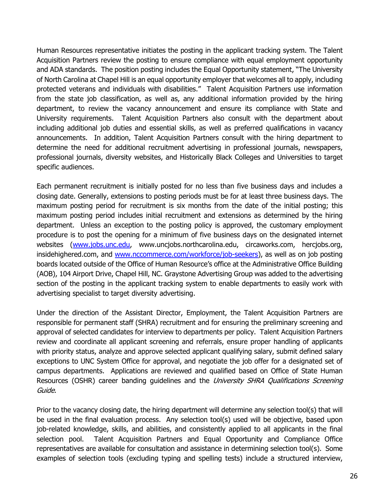Human Resources representative initiates the posting in the applicant tracking system. The Talent Acquisition Partners review the posting to ensure compliance with equal employment opportunity and ADA standards. The position posting includes the Equal Opportunity statement, "The University of North Carolina at Chapel Hill is an equal opportunity employer that welcomes all to apply, including protected veterans and individuals with disabilities." Talent Acquisition Partners use information from the state job classification, as well as, any additional information provided by the hiring department, to review the vacancy announcement and ensure its compliance with State and University requirements. Talent Acquisition Partners also consult with the department about including additional job duties and essential skills, as well as preferred qualifications in vacancy announcements. In addition, Talent Acquisition Partners consult with the hiring department to determine the need for additional recruitment advertising in professional journals, newspapers, professional journals, diversity websites, and Historically Black Colleges and Universities to target specific audiences.

Each permanent recruitment is initially posted for no less than five business days and includes a closing date. Generally, extensions to posting periods must be for at least three business days. The maximum posting period for recruitment is six months from the date of the initial posting; this maximum posting period includes initial recruitment and extensions as determined by the hiring department. Unless an exception to the posting policy is approved, the customary employment procedure is to post the opening for a minimum of five business days on the designated internet websites [\(www.jobs.unc.edu,](http://www.jobs.unc.edu/) www.uncjobs.northcarolina.edu, circaworks.com, hercjobs.org, insidehighered.com, and [www.nccommerce.com/workforce/job-seekers\)](http://www.nccommerce.com/workforce/job-seekers), as well as on job posting boards located outside of the Office of Human Resource's office at the Administrative Office Building (AOB), 104 Airport Drive, Chapel Hill, NC. Graystone Advertising Group was added to the advertising section of the posting in the applicant tracking system to enable departments to easily work with advertising specialist to target diversity advertising.

Under the direction of the Assistant Director, Employment, the Talent Acquisition Partners are responsible for permanent staff (SHRA) recruitment and for ensuring the preliminary screening and approval of selected candidates for interview to departments per policy. Talent Acquisition Partners review and coordinate all applicant screening and referrals, ensure proper handling of applicants with priority status, analyze and approve selected applicant qualifying salary, submit defined salary exceptions to UNC System Office for approval, and negotiate the job offer for a designated set of campus departments. Applications are reviewed and qualified based on Office of State Human Resources (OSHR) career banding guidelines and the University SHRA Qualifications Screening Guide.

Prior to the vacancy closing date, the hiring department will determine any selection tool(s) that will be used in the final evaluation process. Any selection tool(s) used will be objective, based upon job-related knowledge, skills, and abilities, and consistently applied to all applicants in the final selection pool. Talent Acquisition Partners and Equal Opportunity and Compliance Office representatives are available for consultation and assistance in determining selection tool(s). Some examples of selection tools (excluding typing and spelling tests) include a structured interview,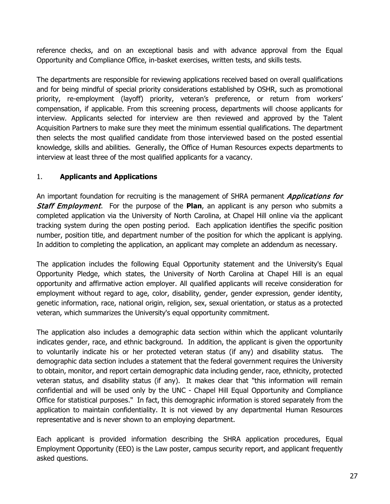reference checks, and on an exceptional basis and with advance approval from the Equal Opportunity and Compliance Office, in-basket exercises, written tests, and skills tests.

The departments are responsible for reviewing applications received based on overall qualifications and for being mindful of special priority considerations established by OSHR, such as promotional priority, re-employment (layoff) priority, veteran's preference, or return from workers' compensation, if applicable. From this screening process, departments will choose applicants for interview. Applicants selected for interview are then reviewed and approved by the Talent Acquisition Partners to make sure they meet the minimum essential qualifications. The department then selects the most qualified candidate from those interviewed based on the posted essential knowledge, skills and abilities. Generally, the Office of Human Resources expects departments to interview at least three of the most qualified applicants for a vacancy.

### 1. **Applicants and Applications**

An important foundation for recruiting is the management of SHRA permanent *Applications for* Staff Employment. For the purpose of the **Plan**, an applicant is any person who submits a completed application via the University of North Carolina, at Chapel Hill online via the applicant tracking system during the open posting period. Each application identifies the specific position number, position title, and department number of the position for which the applicant is applying. In addition to completing the application, an applicant may complete an addendum as necessary.

The application includes the following Equal Opportunity statement and the University's Equal Opportunity Pledge, which states, the University of North Carolina at Chapel Hill is an equal opportunity and affirmative action employer. All qualified applicants will receive consideration for employment without regard to age, color, disability, gender, gender expression, gender identity, genetic information, race, national origin, religion, sex, sexual orientation, or status as a protected veteran, which summarizes the University's equal opportunity commitment.

The application also includes a demographic data section within which the applicant voluntarily indicates gender, race, and ethnic background. In addition, the applicant is given the opportunity to voluntarily indicate his or her protected veteran status (if any) and disability status. The demographic data section includes a statement that the federal government requires the University to obtain, monitor, and report certain demographic data including gender, race, ethnicity, protected veteran status, and disability status (if any). It makes clear that "this information will remain confidential and will be used only by the UNC - Chapel Hill Equal Opportunity and Compliance Office for statistical purposes." In fact, this demographic information is stored separately from the application to maintain confidentiality. It is not viewed by any departmental Human Resources representative and is never shown to an employing department.

Each applicant is provided information describing the SHRA application procedures, Equal Employment Opportunity (EEO) is the Law poster, campus security report, and applicant frequently asked questions.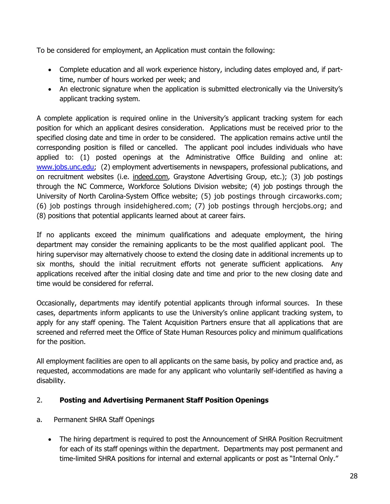To be considered for employment, an Application must contain the following:

- Complete education and all work experience history, including dates employed and, if parttime, number of hours worked per week; and
- An electronic signature when the application is submitted electronically via the University's applicant tracking system.

A complete application is required online in the University's applicant tracking system for each position for which an applicant desires consideration. Applications must be received prior to the specified closing date and time in order to be considered. The application remains active until the corresponding position is filled or cancelled. The applicant pool includes individuals who have applied to: (1) posted openings at the Administrative Office Building and online at: [www.jobs.unc.edu;](http://www.jobs.unc.edu/) (2) employment advertisements in newspapers, professional publications, and on recruitment websites (i.e. indeed.com, Graystone Advertising Group, etc.); (3) job postings through the NC Commerce, Workforce Solutions Division website; (4) job postings through the University of North Carolina-System Office website; (5) job postings through circaworks.com; (6) job postings through insidehighered.com; (7) job postings through hercjobs.org; and (8) positions that potential applicants learned about at career fairs.

If no applicants exceed the minimum qualifications and adequate employment, the hiring department may consider the remaining applicants to be the most qualified applicant pool. The hiring supervisor may alternatively choose to extend the closing date in additional increments up to six months, should the initial recruitment efforts not generate sufficient applications. Any applications received after the initial closing date and time and prior to the new closing date and time would be considered for referral.

Occasionally, departments may identify potential applicants through informal sources. In these cases, departments inform applicants to use the University's online applicant tracking system, to apply for any staff opening. The Talent Acquisition Partners ensure that all applications that are screened and referred meet the Office of State Human Resources policy and minimum qualifications for the position.

All employment facilities are open to all applicants on the same basis, by policy and practice and, as requested, accommodations are made for any applicant who voluntarily self-identified as having a disability.

#### 2. **Posting and Advertising Permanent Staff Position Openings**

#### a. Permanent SHRA Staff Openings

• The hiring department is required to post the Announcement of SHRA Position Recruitment for each of its staff openings within the department. Departments may post permanent and time-limited SHRA positions for internal and external applicants or post as "Internal Only."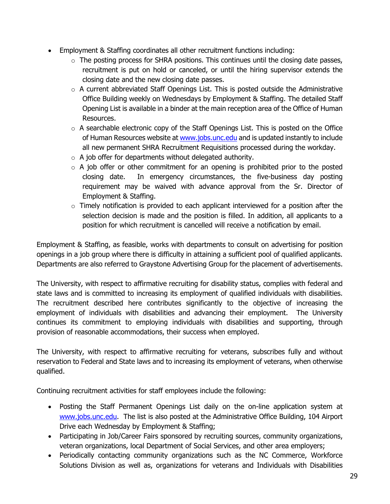- Employment & Staffing coordinates all other recruitment functions including:
	- $\circ$  The posting process for SHRA positions. This continues until the closing date passes, recruitment is put on hold or canceled, or until the hiring supervisor extends the closing date and the new closing date passes.
	- $\circ$  A current abbreviated Staff Openings List. This is posted outside the Administrative Office Building weekly on Wednesdays by Employment & Staffing. The detailed Staff Opening List is available in a binder at the main reception area of the Office of Human Resources.
	- $\circ$  A searchable electronic copy of the Staff Openings List. This is posted on the Office of Human Resources website a[t www.jobs.unc.edu](http://www.jobs.unc.edu/) and is updated instantly to include all new permanent SHRA Recruitment Requisitions processed during the workday.
	- $\circ$  A job offer for departments without delegated authority.
	- $\circ$  A job offer or other commitment for an opening is prohibited prior to the posted closing date. In emergency circumstances, the five-business day posting requirement may be waived with advance approval from the Sr. Director of Employment & Staffing.
	- $\circ$  Timely notification is provided to each applicant interviewed for a position after the selection decision is made and the position is filled. In addition, all applicants to a position for which recruitment is cancelled will receive a notification by email.

Employment & Staffing, as feasible, works with departments to consult on advertising for position openings in a job group where there is difficulty in attaining a sufficient pool of qualified applicants. Departments are also referred to Graystone Advertising Group for the placement of advertisements.

The University, with respect to affirmative recruiting for disability status, complies with federal and state laws and is committed to increasing its employment of qualified individuals with disabilities. The recruitment described here contributes significantly to the objective of increasing the employment of individuals with disabilities and advancing their employment. The University continues its commitment to employing individuals with disabilities and supporting, through provision of reasonable accommodations, their success when employed.

The University, with respect to affirmative recruiting for veterans, subscribes fully and without reservation to Federal and State laws and to increasing its employment of veterans, when otherwise qualified.

Continuing recruitment activities for staff employees include the following:

- Posting the Staff Permanent Openings List daily on the on-line application system at [www.jobs.unc.edu.](http://www.jobs.unc.edu/) The list is also posted at the Administrative Office Building, 104 Airport Drive each Wednesday by Employment & Staffing;
- Participating in Job/Career Fairs sponsored by recruiting sources, community organizations, veteran organizations, local Department of Social Services, and other area employers;
- Periodically contacting community organizations such as the NC Commerce, Workforce Solutions Division as well as, organizations for veterans and Individuals with Disabilities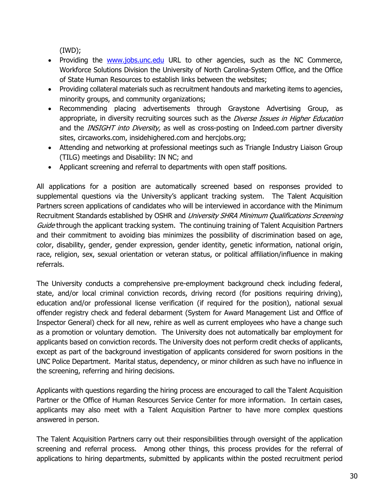(IWD);

- Providing the [www.jobs.unc.edu](http://www.jobs.unc.edu/) URL to other agencies, such as the NC Commerce, Workforce Solutions Division the University of North Carolina-System Office, and the Office of State Human Resources to establish links between the websites;
- Providing collateral materials such as recruitment handouts and marketing items to agencies, minority groups, and community organizations;
- Recommending placing advertisements through Graystone Advertising Group, as appropriate, in diversity recruiting sources such as the Diverse Issues in Higher Education and the INSIGHT into Diversity, as well as cross-posting on Indeed.com partner diversity sites, circaworks.com, insidehighered.com and hercjobs.org;
- Attending and networking at professional meetings such as Triangle Industry Liaison Group (TILG) meetings and Disability: IN NC; and
- Applicant screening and referral to departments with open staff positions.

All applications for a position are automatically screened based on responses provided to supplemental questions via the University's applicant tracking system. The Talent Acquisition Partners screen applications of candidates who will be interviewed in accordance with the Minimum Recruitment Standards established by OSHR and University SHRA Minimum Qualifications Screening Guide through the applicant tracking system. The continuing training of Talent Acquisition Partners and their commitment to avoiding bias minimizes the possibility of discrimination based on age, color, disability, gender, gender expression, gender identity, genetic information, national origin, race, religion, sex, sexual orientation or veteran status, or political affiliation/influence in making referrals.

The University conducts a comprehensive pre-employment background check including federal, state, and/or local criminal conviction records, driving record (for positions requiring driving), education and/or professional license verification (if required for the position), national sexual offender registry check and federal debarment (System for Award Management List and Office of Inspector General) check for all new, rehire as well as current employees who have a change such as a promotion or voluntary demotion. The University does not automatically bar employment for applicants based on conviction records. The University does not perform credit checks of applicants, except as part of the background investigation of applicants considered for sworn positions in the UNC Police Department. Marital status, dependency, or minor children as such have no influence in the screening, referring and hiring decisions.

Applicants with questions regarding the hiring process are encouraged to call the Talent Acquisition Partner or the Office of Human Resources Service Center for more information. In certain cases, applicants may also meet with a Talent Acquisition Partner to have more complex questions answered in person.

The Talent Acquisition Partners carry out their responsibilities through oversight of the application screening and referral process. Among other things, this process provides for the referral of applications to hiring departments, submitted by applicants within the posted recruitment period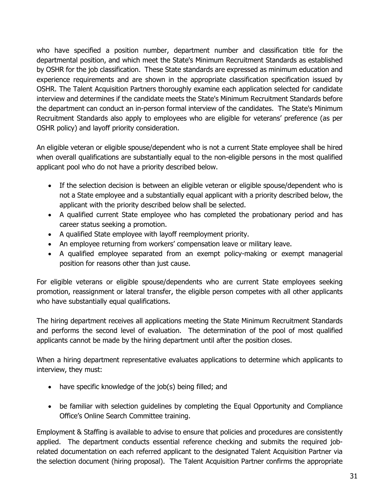who have specified a position number, department number and classification title for the departmental position, and which meet the State's Minimum Recruitment Standards as established by OSHR for the job classification. These State standards are expressed as minimum education and experience requirements and are shown in the appropriate classification specification issued by OSHR. The Talent Acquisition Partners thoroughly examine each application selected for candidate interview and determines if the candidate meets the State's Minimum Recruitment Standards before the department can conduct an in-person formal interview of the candidates. The State's Minimum Recruitment Standards also apply to employees who are eligible for veterans' preference (as per OSHR policy) and layoff priority consideration.

An eligible veteran or eligible spouse/dependent who is not a current State employee shall be hired when overall qualifications are substantially equal to the non-eligible persons in the most qualified applicant pool who do not have a priority described below.

- If the selection decision is between an eligible veteran or eligible spouse/dependent who is not a State employee and a substantially equal applicant with a priority described below, the applicant with the priority described below shall be selected.
- A qualified current State employee who has completed the probationary period and has career status seeking a promotion.
- A qualified State employee with layoff reemployment priority.
- An employee returning from workers' compensation leave or military leave.
- A qualified employee separated from an exempt policy-making or exempt managerial position for reasons other than just cause.

For eligible veterans or eligible spouse/dependents who are current State employees seeking promotion, reassignment or lateral transfer, the eligible person competes with all other applicants who have substantially equal qualifications.

The hiring department receives all applications meeting the State Minimum Recruitment Standards and performs the second level of evaluation. The determination of the pool of most qualified applicants cannot be made by the hiring department until after the position closes.

When a hiring department representative evaluates applications to determine which applicants to interview, they must:

- have specific knowledge of the job(s) being filled; and
- be familiar with selection guidelines by completing the Equal Opportunity and Compliance Office's Online Search Committee training.

Employment & Staffing is available to advise to ensure that policies and procedures are consistently applied. The department conducts essential reference checking and submits the required jobrelated documentation on each referred applicant to the designated Talent Acquisition Partner via the selection document (hiring proposal). The Talent Acquisition Partner confirms the appropriate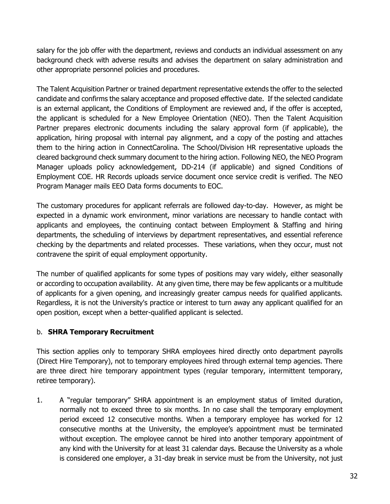salary for the job offer with the department, reviews and conducts an individual assessment on any background check with adverse results and advises the department on salary administration and other appropriate personnel policies and procedures.

The Talent Acquisition Partner or trained department representative extends the offer to the selected candidate and confirms the salary acceptance and proposed effective date. If the selected candidate is an external applicant, the Conditions of Employment are reviewed and, if the offer is accepted, the applicant is scheduled for a New Employee Orientation (NEO). Then the Talent Acquisition Partner prepares electronic documents including the salary approval form (if applicable), the application, hiring proposal with internal pay alignment, and a copy of the posting and attaches them to the hiring action in ConnectCarolina. The School/Division HR representative uploads the cleared background check summary document to the hiring action. Following NEO, the NEO Program Manager uploads policy acknowledgement, DD-214 (if applicable) and signed Conditions of Employment COE. HR Records uploads service document once service credit is verified. The NEO Program Manager mails EEO Data forms documents to EOC.

The customary procedures for applicant referrals are followed day-to-day. However, as might be expected in a dynamic work environment, minor variations are necessary to handle contact with applicants and employees, the continuing contact between Employment & Staffing and hiring departments, the scheduling of interviews by department representatives, and essential reference checking by the departments and related processes. These variations, when they occur, must not contravene the spirit of equal employment opportunity.

The number of qualified applicants for some types of positions may vary widely, either seasonally or according to occupation availability. At any given time, there may be few applicants or a multitude of applicants for a given opening, and increasingly greater campus needs for qualified applicants. Regardless, it is not the University's practice or interest to turn away any applicant qualified for an open position, except when a better-qualified applicant is selected.

#### b. **SHRA Temporary Recruitment**

This section applies only to temporary SHRA employees hired directly onto department payrolls (Direct Hire Temporary), not to temporary employees hired through external temp agencies. There are three direct hire temporary appointment types (regular temporary, intermittent temporary, retiree temporary).

1. A "regular temporary" SHRA appointment is an employment status of limited duration, normally not to exceed three to six months. In no case shall the temporary employment period exceed 12 consecutive months. When a temporary employee has worked for 12 consecutive months at the University, the employee's appointment must be terminated without exception. The employee cannot be hired into another temporary appointment of any kind with the University for at least 31 calendar days. Because the University as a whole is considered one employer, a 31-day break in service must be from the University, not just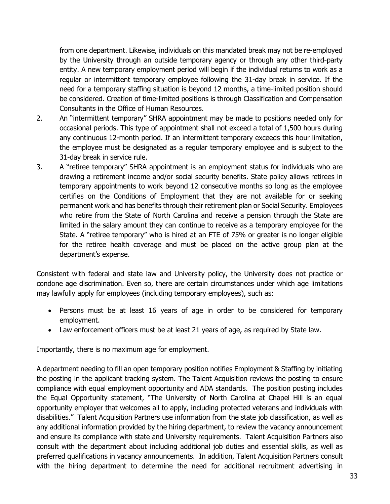from one department. Likewise, individuals on this mandated break may not be re-employed by the University through an outside temporary agency or through any other third-party entity. A new temporary employment period will begin if the individual returns to work as a regular or intermittent temporary employee following the 31-day break in service. If the need for a temporary staffing situation is beyond 12 months, a time-limited position should be considered. Creation of time-limited positions is through Classification and Compensation Consultants in the Office of Human Resources.

- 2. An "intermittent temporary" SHRA appointment may be made to positions needed only for occasional periods. This type of appointment shall not exceed a total of 1,500 hours during any continuous 12-month period. If an intermittent temporary exceeds this hour limitation, the employee must be designated as a regular temporary employee and is subject to the 31-day break in service rule.
- 3. A "retiree temporary" SHRA appointment is an employment status for individuals who are drawing a retirement income and/or social security benefits. State policy allows retirees in temporary appointments to work beyond 12 consecutive months so long as the employee certifies on the Conditions of Employment that they are not available for or seeking permanent work and has benefits through their retirement plan or Social Security. Employees who retire from the State of North Carolina and receive a pension through the State are limited in the salary amount they can continue to receive as a temporary employee for the State. A "retiree temporary" who is hired at an FTE of 75% or greater is no longer eligible for the retiree health coverage and must be placed on the active group plan at the department's expense.

Consistent with federal and state law and University policy, the University does not practice or condone age discrimination. Even so, there are certain circumstances under which age limitations may lawfully apply for employees (including temporary employees), such as:

- Persons must be at least 16 years of age in order to be considered for temporary employment.
- Law enforcement officers must be at least 21 years of age, as required by State law.

Importantly, there is no maximum age for employment.

A department needing to fill an open temporary position notifies Employment & Staffing by initiating the posting in the applicant tracking system. The Talent Acquisition reviews the posting to ensure compliance with equal employment opportunity and ADA standards. The position posting includes the Equal Opportunity statement, "The University of North Carolina at Chapel Hill is an equal opportunity employer that welcomes all to apply, including protected veterans and individuals with disabilities." Talent Acquisition Partners use information from the state job classification, as well as any additional information provided by the hiring department, to review the vacancy announcement and ensure its compliance with state and University requirements. Talent Acquisition Partners also consult with the department about including additional job duties and essential skills, as well as preferred qualifications in vacancy announcements. In addition, Talent Acquisition Partners consult with the hiring department to determine the need for additional recruitment advertising in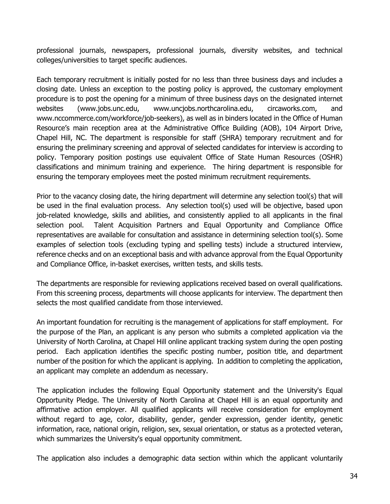professional journals, newspapers, professional journals, diversity websites, and technical colleges/universities to target specific audiences.

Each temporary recruitment is initially posted for no less than three business days and includes a closing date. Unless an exception to the posting policy is approved, the customary employment procedure is to post the opening for a minimum of three business days on the designated internet websites (www.jobs.unc.edu, www.uncjobs.northcarolina.edu, circaworks.com, and www.nccommerce.com/workforce/job-seekers), as well as in binders located in the Office of Human Resource's main reception area at the Administrative Office Building (AOB), 104 Airport Drive, Chapel Hill, NC. The department is responsible for staff (SHRA) temporary recruitment and for ensuring the preliminary screening and approval of selected candidates for interview is according to policy. Temporary position postings use equivalent Office of State Human Resources (OSHR) classifications and minimum training and experience. The hiring department is responsible for ensuring the temporary employees meet the posted minimum recruitment requirements.

Prior to the vacancy closing date, the hiring department will determine any selection tool(s) that will be used in the final evaluation process. Any selection tool(s) used will be objective, based upon job-related knowledge, skills and abilities, and consistently applied to all applicants in the final selection pool. Talent Acquisition Partners and Equal Opportunity and Compliance Office representatives are available for consultation and assistance in determining selection tool(s). Some examples of selection tools (excluding typing and spelling tests) include a structured interview, reference checks and on an exceptional basis and with advance approval from the Equal Opportunity and Compliance Office, in-basket exercises, written tests, and skills tests.

The departments are responsible for reviewing applications received based on overall qualifications. From this screening process, departments will choose applicants for interview. The department then selects the most qualified candidate from those interviewed.

An important foundation for recruiting is the management of applications for staff employment. For the purpose of the Plan, an applicant is any person who submits a completed application via the University of North Carolina, at Chapel Hill online applicant tracking system during the open posting period. Each application identifies the specific posting number, position title, and department number of the position for which the applicant is applying. In addition to completing the application, an applicant may complete an addendum as necessary.

The application includes the following Equal Opportunity statement and the University's Equal Opportunity Pledge. The University of North Carolina at Chapel Hill is an equal opportunity and affirmative action employer. All qualified applicants will receive consideration for employment without regard to age, color, disability, gender, gender expression, gender identity, genetic information, race, national origin, religion, sex, sexual orientation, or status as a protected veteran, which summarizes the University's equal opportunity commitment.

The application also includes a demographic data section within which the applicant voluntarily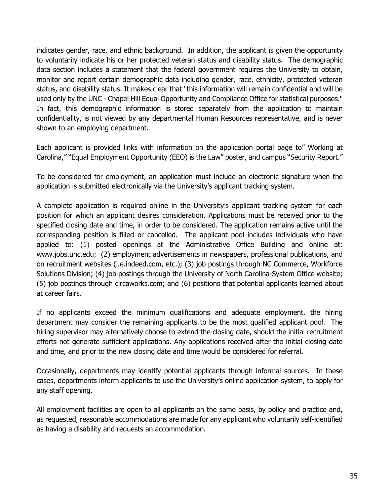indicates gender, race, and ethnic background. In addition, the applicant is given the opportunity to voluntarily indicate his or her protected veteran status and disability status. The demographic data section includes a statement that the federal government requires the University to obtain, monitor and report certain demographic data including gender, race, ethnicity, protected veteran status, and disability status. It makes clear that "this information will remain confidential and will be used only by the UNC - Chapel Hill Equal Opportunity and Compliance Office for statistical purposes." In fact, this demographic information is stored separately from the application to maintain confidentiality, is not viewed by any departmental Human Resources representative, and is never shown to an employing department.

Each applicant is provided links with information on the application portal page to" Working at Carolina," "Equal Employment Opportunity (EEO) is the Law" poster, and campus "Security Report."

To be considered for employment, an application must include an electronic signature when the application is submitted electronically via the University's applicant tracking system.

A complete application is required online in the University's applicant tracking system for each position for which an applicant desires consideration. Applications must be received prior to the specified closing date and time, in order to be considered. The application remains active until the corresponding position is filled or cancelled. The applicant pool includes individuals who have applied to: (1) posted openings at the Administrative Office Building and online at: www.jobs.unc.edu; (2) employment advertisements in newspapers, professional publications, and on recruitment websites (i.e.indeed.com, etc.); (3) job postings through NC Commerce, Workforce Solutions Division; (4) job postings through the University of North Carolina-System Office website; (5) job postings through circaworks.com; and (6) positions that potential applicants learned about at career fairs.

If no applicants exceed the minimum qualifications and adequate employment, the hiring department may consider the remaining applicants to be the most qualified applicant pool. The hiring supervisor may alternatively choose to extend the closing date, should the initial recruitment efforts not generate sufficient applications. Any applications received after the initial closing date and time, and prior to the new closing date and time would be considered for referral.

Occasionally, departments may identify potential applicants through informal sources. In these cases, departments inform applicants to use the University's online application system, to apply for any staff opening.

All employment facilities are open to all applicants on the same basis, by policy and practice and, as requested, reasonable accommodations are made for any applicant who voluntarily self-identified as having a disability and requests an accommodation.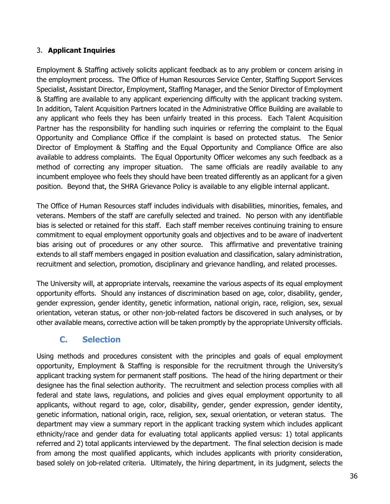#### 3. **Applicant Inquiries**

Employment & Staffing actively solicits applicant feedback as to any problem or concern arising in the employment process. The Office of Human Resources Service Center, Staffing Support Services Specialist, Assistant Director, Employment, Staffing Manager, and the Senior Director of Employment & Staffing are available to any applicant experiencing difficulty with the applicant tracking system. In addition, Talent Acquisition Partners located in the Administrative Office Building are available to any applicant who feels they has been unfairly treated in this process. Each Talent Acquisition Partner has the responsibility for handling such inquiries or referring the complaint to the Equal Opportunity and Compliance Office if the complaint is based on protected status. The Senior Director of Employment & Staffing and the Equal Opportunity and Compliance Office are also available to address complaints. The Equal Opportunity Officer welcomes any such feedback as a method of correcting any improper situation. The same officials are readily available to any incumbent employee who feels they should have been treated differently as an applicant for a given position. Beyond that, the SHRA Grievance Policy is available to any eligible internal applicant.

The Office of Human Resources staff includes individuals with disabilities, minorities, females, and veterans. Members of the staff are carefully selected and trained. No person with any identifiable bias is selected or retained for this staff. Each staff member receives continuing training to ensure commitment to equal employment opportunity goals and objectives and to be aware of inadvertent bias arising out of procedures or any other source. This affirmative and preventative training extends to all staff members engaged in position evaluation and classification, salary administration, recruitment and selection, promotion, disciplinary and grievance handling, and related processes.

The University will, at appropriate intervals, reexamine the various aspects of its equal employment opportunity efforts. Should any instances of discrimination based on age, color, disability, gender, gender expression, gender identity, genetic information, national origin, race, religion, sex, sexual orientation, veteran status, or other non-job-related factors be discovered in such analyses, or by other available means, corrective action will be taken promptly by the appropriate University officials.

## <span id="page-35-0"></span>**C. Selection**

Using methods and procedures consistent with the principles and goals of equal employment opportunity, Employment & Staffing is responsible for the recruitment through the University's applicant tracking system for permanent staff positions. The head of the hiring department or their designee has the final selection authority. The recruitment and selection process complies with all federal and state laws, regulations, and policies and gives equal employment opportunity to all applicants, without regard to age, color, disability, gender, gender expression, gender identity, genetic information, national origin, race, religion, sex, sexual orientation, or veteran status. The department may view a summary report in the applicant tracking system which includes applicant ethnicity/race and gender data for evaluating total applicants applied versus: 1) total applicants referred and 2) total applicants interviewed by the department. The final selection decision is made from among the most qualified applicants, which includes applicants with priority consideration, based solely on job-related criteria. Ultimately, the hiring department, in its judgment, selects the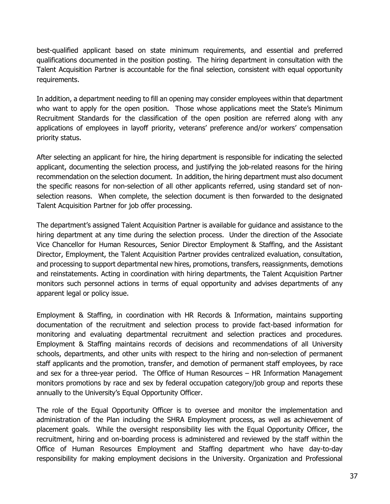best-qualified applicant based on state minimum requirements, and essential and preferred qualifications documented in the position posting. The hiring department in consultation with the Talent Acquisition Partner is accountable for the final selection, consistent with equal opportunity requirements.

In addition, a department needing to fill an opening may consider employees within that department who want to apply for the open position. Those whose applications meet the State's Minimum Recruitment Standards for the classification of the open position are referred along with any applications of employees in layoff priority, veterans' preference and/or workers' compensation priority status.

After selecting an applicant for hire, the hiring department is responsible for indicating the selected applicant, documenting the selection process, and justifying the job-related reasons for the hiring recommendation on the selection document. In addition, the hiring department must also document the specific reasons for non-selection of all other applicants referred, using standard set of nonselection reasons. When complete, the selection document is then forwarded to the designated Talent Acquisition Partner for job offer processing.

The department's assigned Talent Acquisition Partner is available for guidance and assistance to the hiring department at any time during the selection process. Under the direction of the Associate Vice Chancellor for Human Resources, Senior Director Employment & Staffing, and the Assistant Director, Employment, the Talent Acquisition Partner provides centralized evaluation, consultation, and processing to support departmental new hires, promotions, transfers, reassignments, demotions and reinstatements. Acting in coordination with hiring departments, the Talent Acquisition Partner monitors such personnel actions in terms of equal opportunity and advises departments of any apparent legal or policy issue.

Employment & Staffing, in coordination with HR Records & Information, maintains supporting documentation of the recruitment and selection process to provide fact-based information for monitoring and evaluating departmental recruitment and selection practices and procedures. Employment & Staffing maintains records of decisions and recommendations of all University schools, departments, and other units with respect to the hiring and non-selection of permanent staff applicants and the promotion, transfer, and demotion of permanent staff employees, by race and sex for a three-year period. The Office of Human Resources – HR Information Management monitors promotions by race and sex by federal occupation category/job group and reports these annually to the University's Equal Opportunity Officer.

The role of the Equal Opportunity Officer is to oversee and monitor the implementation and administration of the Plan including the SHRA Employment process, as well as achievement of placement goals. While the oversight responsibility lies with the Equal Opportunity Officer, the recruitment, hiring and on-boarding process is administered and reviewed by the staff within the Office of Human Resources Employment and Staffing department who have day-to-day responsibility for making employment decisions in the University. Organization and Professional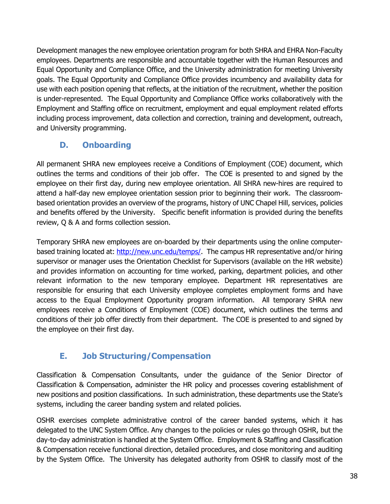Development manages the new employee orientation program for both SHRA and EHRA Non-Faculty employees. Departments are responsible and accountable together with the Human Resources and Equal Opportunity and Compliance Office, and the University administration for meeting University goals. The Equal Opportunity and Compliance Office provides incumbency and availability data for use with each position opening that reflects, at the initiation of the recruitment, whether the position is under-represented. The Equal Opportunity and Compliance Office works collaboratively with the Employment and Staffing office on recruitment, employment and equal employment related efforts including process improvement, data collection and correction, training and development, outreach, and University programming.

## <span id="page-37-0"></span>**D. Onboarding**

All permanent SHRA new employees receive a Conditions of Employment (COE) document, which outlines the terms and conditions of their job offer. The COE is presented to and signed by the employee on their first day, during new employee orientation. All SHRA new-hires are required to attend a half-day new employee orientation session prior to beginning their work. The classroombased orientation provides an overview of the programs, history of UNC Chapel Hill, services, policies and benefits offered by the University. Specific benefit information is provided during the benefits review, Q & A and forms collection session.

Temporary SHRA new employees are on-boarded by their departments using the online computerbased training located at: [http://new.unc.edu/temps/.](http://new.unc.edu/temps/) The campus HR representative and/or hiring supervisor or manager uses the Orientation Checklist for Supervisors (available on the HR website) and provides information on accounting for time worked, parking, department policies, and other relevant information to the new temporary employee. Department HR representatives are responsible for ensuring that each University employee completes employment forms and have access to the Equal Employment Opportunity program information. All temporary SHRA new employees receive a Conditions of Employment (COE) document, which outlines the terms and conditions of their job offer directly from their department. The COE is presented to and signed by the employee on their first day.

## <span id="page-37-1"></span>**E. Job Structuring/Compensation**

Classification & Compensation Consultants, under the guidance of the Senior Director of Classification & Compensation, administer the HR policy and processes covering establishment of new positions and position classifications. In such administration, these departments use the State's systems, including the career banding system and related policies.

OSHR exercises complete administrative control of the career banded systems, which it has delegated to the UNC System Office. Any changes to the policies or rules go through OSHR, but the day-to-day administration is handled at the System Office. Employment & Staffing and Classification & Compensation receive functional direction, detailed procedures, and close monitoring and auditing by the System Office. The University has delegated authority from OSHR to classify most of the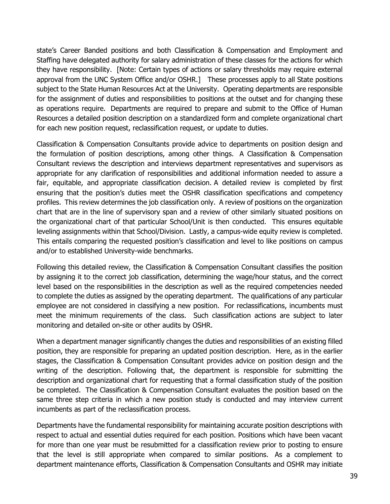state's Career Banded positions and both Classification & Compensation and Employment and Staffing have delegated authority for salary administration of these classes for the actions for which they have responsibility. [Note: Certain types of actions or salary thresholds may require external approval from the UNC System Office and/or OSHR.] These processes apply to all State positions subject to the State Human Resources Act at the University. Operating departments are responsible for the assignment of duties and responsibilities to positions at the outset and for changing these as operations require. Departments are required to prepare and submit to the Office of Human Resources a detailed position description on a standardized form and complete organizational chart for each new position request, reclassification request, or update to duties.

Classification & Compensation Consultants provide advice to departments on position design and the formulation of position descriptions, among other things. A Classification & Compensation Consultant reviews the description and interviews department representatives and supervisors as appropriate for any clarification of responsibilities and additional information needed to assure a fair, equitable, and appropriate classification decision. A detailed review is completed by first ensuring that the position's duties meet the OSHR classification specifications and competency profiles. This review determines the job classification only. A review of positions on the organization chart that are in the line of supervisory span and a review of other similarly situated positions on the organizational chart of that particular School/Unit is then conducted. This ensures equitable leveling assignments within that School/Division. Lastly, a campus-wide equity review is completed. This entails comparing the requested position's classification and level to like positions on campus and/or to established University-wide benchmarks.

Following this detailed review, the Classification & Compensation Consultant classifies the position by assigning it to the correct job classification, determining the wage/hour status, and the correct level based on the responsibilities in the description as well as the required competencies needed to complete the duties as assigned by the operating department. The qualifications of any particular employee are not considered in classifying a new position. For reclassifications, incumbents must meet the minimum requirements of the class. Such classification actions are subject to later monitoring and detailed on-site or other audits by OSHR.

When a department manager significantly changes the duties and responsibilities of an existing filled position, they are responsible for preparing an updated position description. Here, as in the earlier stages, the Classification & Compensation Consultant provides advice on position design and the writing of the description. Following that, the department is responsible for submitting the description and organizational chart for requesting that a formal classification study of the position be completed. The Classification & Compensation Consultant evaluates the position based on the same three step criteria in which a new position study is conducted and may interview current incumbents as part of the reclassification process.

Departments have the fundamental responsibility for maintaining accurate position descriptions with respect to actual and essential duties required for each position. Positions which have been vacant for more than one year must be resubmitted for a classification review prior to posting to ensure that the level is still appropriate when compared to similar positions. As a complement to department maintenance efforts, Classification & Compensation Consultants and OSHR may initiate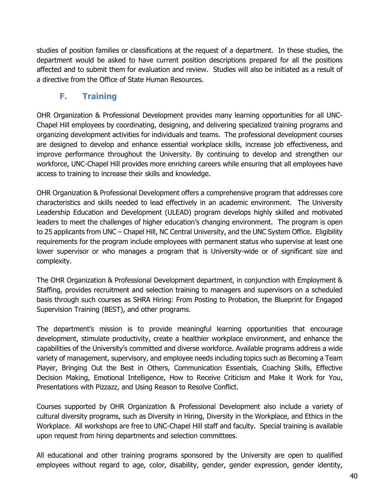studies of position families or classifications at the request of a department. In these studies, the department would be asked to have current position descriptions prepared for all the positions affected and to submit them for evaluation and review. Studies will also be initiated as a result of a directive from the Office of State Human Resources.

## **F. Training**

<span id="page-39-0"></span>OHR Organization & Professional Development provides many learning opportunities for all UNC-Chapel Hill employees by coordinating, designing, and delivering specialized training programs and organizing development activities for individuals and teams. The professional development courses are designed to develop and enhance essential workplace skills, increase job effectiveness, and improve performance throughout the University. By continuing to develop and strengthen our workforce, UNC-Chapel Hill provides more enriching careers while ensuring that all employees have access to training to increase their skills and knowledge.

OHR Organization & Professional Development offers a comprehensive program that addresses core characteristics and skills needed to lead effectively in an academic environment. The University Leadership Education and Development (ULEAD) program develops highly skilled and motivated leaders to meet the challenges of higher education's changing environment. The program is open to 25 applicants from UNC – Chapel Hill, NC Central University, and the UNC System Office. Eligibility requirements for the program include employees with permanent status who supervise at least one lower supervisor or who manages a program that is University-wide or of significant size and complexity.

The OHR Organization & Professional Development department, in conjunction with Employment & Staffing, provides recruitment and selection training to managers and supervisors on a scheduled basis through such courses as SHRA Hiring: From Posting to Probation, the Blueprint for Engaged Supervision Training (BEST), and other programs.

The department's mission is to provide meaningful learning opportunities that encourage development, stimulate productivity, create a healthier workplace environment, and enhance the capabilities of the University's committed and diverse workforce. Available programs address a wide variety of management, supervisory, and employee needs including topics such as Becoming a Team Player, Bringing Out the Best in Others, Communication Essentials, Coaching Skills, Effective Decision Making, Emotional Intelligence, How to Receive Criticism and Make it Work for You, Presentations with Pizzazz, and Using Reason to Resolve Conflict.

Courses supported by OHR Organization & Professional Development also include a variety of cultural diversity programs, such as Diversity in Hiring, Diversity in the Workplace, and Ethics in the Workplace. All workshops are free to UNC-Chapel Hill staff and faculty. Special training is available upon request from hiring departments and selection committees.

All educational and other training programs sponsored by the University are open to qualified employees without regard to age, color, disability, gender, gender expression, gender identity,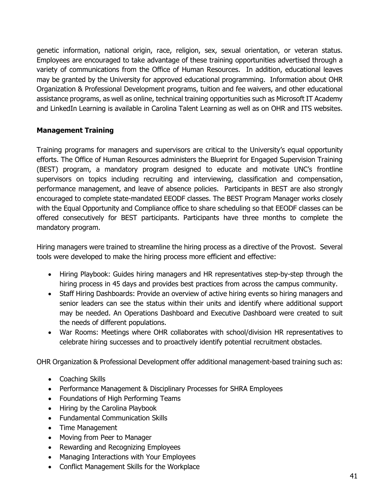genetic information, national origin, race, religion, sex, sexual orientation, or veteran status. Employees are encouraged to take advantage of these training opportunities advertised through a variety of communications from the Office of Human Resources. In addition, educational leaves may be granted by the University for approved educational programming. Information about OHR Organization & Professional Development programs, tuition and fee waivers, and other educational assistance programs, as well as online, technical training opportunities such as Microsoft IT Academy and LinkedIn Learning is available in Carolina Talent Learning as well as on OHR and ITS websites.

#### **Management Training**

Training programs for managers and supervisors are critical to the University's equal opportunity efforts. The Office of Human Resources administers the Blueprint for Engaged Supervision Training (BEST) program, a mandatory program designed to educate and motivate UNC's frontline supervisors on topics including recruiting and interviewing, classification and compensation, performance management, and leave of absence policies. Participants in BEST are also strongly encouraged to complete state-mandated EEODF classes. The BEST Program Manager works closely with the Equal Opportunity and Compliance office to share scheduling so that EEODF classes can be offered consecutively for BEST participants. Participants have three months to complete the mandatory program.

Hiring managers were trained to streamline the hiring process as a directive of the Provost. Several tools were developed to make the hiring process more efficient and effective:

- Hiring Playbook: Guides hiring managers and HR representatives step-by-step through the hiring process in 45 days and provides best practices from across the campus community.
- Staff Hiring Dashboards: Provide an overview of active hiring events so hiring managers and senior leaders can see the status within their units and identify where additional support may be needed. An Operations Dashboard and Executive Dashboard were created to suit the needs of different populations.
- War Rooms: Meetings where OHR collaborates with school/division HR representatives to celebrate hiring successes and to proactively identify potential recruitment obstacles.

OHR Organization & Professional Development offer additional management-based training such as:

- Coaching Skills
- Performance Management & Disciplinary Processes for SHRA Employees
- Foundations of High Performing Teams
- Hiring by the Carolina Playbook
- Fundamental Communication Skills
- Time Management
- Moving from Peer to Manager
- Rewarding and Recognizing Employees
- Managing Interactions with Your Employees
- Conflict Management Skills for the Workplace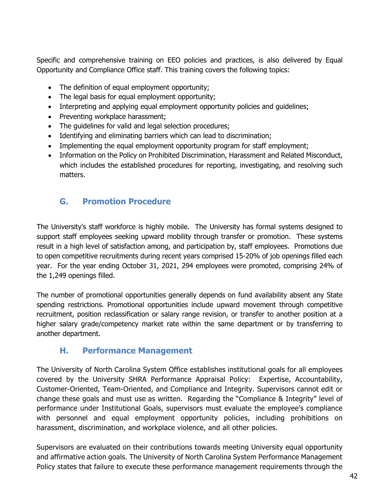Specific and comprehensive training on EEO policies and practices, is also delivered by Equal Opportunity and Compliance Office staff. This training covers the following topics:

- The definition of equal employment opportunity;
- The legal basis for equal employment opportunity;
- Interpreting and applying equal employment opportunity policies and quidelines;
- Preventing workplace harassment;
- The guidelines for valid and legal selection procedures;
- Identifying and eliminating barriers which can lead to discrimination;
- Implementing the equal employment opportunity program for staff employment;
- Information on the Policy on Prohibited Discrimination, Harassment and Related Misconduct, which includes the established procedures for reporting, investigating, and resolving such matters.

## <span id="page-41-0"></span>**G. Promotion Procedure**

The University's staff workforce is highly mobile. The University has formal systems designed to support staff employees seeking upward mobility through transfer or promotion. These systems result in a high level of satisfaction among, and participation by, staff employees. Promotions due to open competitive recruitments during recent years comprised 15-20% of job openings filled each year. For the year ending October 31, 2021, 294 employees were promoted, comprising 24% of the 1,249 openings filled.

The number of promotional opportunities generally depends on fund availability absent any State spending restrictions. Promotional opportunities include upward movement through competitive recruitment, position reclassification or salary range revision, or transfer to another position at a higher salary grade/competency market rate within the same department or by transferring to another department.

## <span id="page-41-1"></span>**H. Performance Management**

The University of North Carolina System Office establishes institutional goals for all employees covered by the University SHRA Performance Appraisal Policy: Expertise, Accountability, Customer-Oriented, Team-Oriented, and Compliance and Integrity. Supervisors cannot edit or change these goals and must use as written. Regarding the "Compliance & Integrity" level of performance under Institutional Goals, supervisors must evaluate the employee's compliance with personnel and equal employment opportunity policies, including prohibitions on harassment, discrimination, and workplace violence, and all other policies.

Supervisors are evaluated on their contributions towards meeting University equal opportunity and affirmative action goals. The University of North Carolina System Performance Management Policy states that failure to execute these performance management requirements through the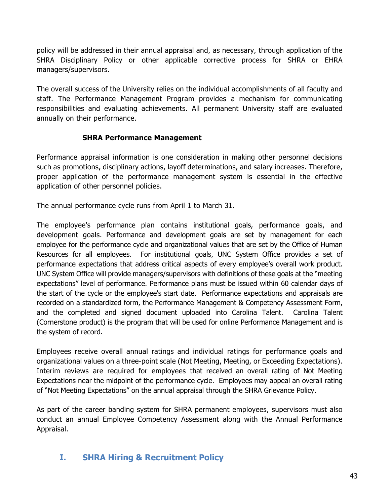policy will be addressed in their annual appraisal and, as necessary, through application of the SHRA Disciplinary Policy or other applicable corrective process for SHRA or EHRA managers/supervisors.

The overall success of the University relies on the individual accomplishments of all faculty and staff. The Performance Management Program provides a mechanism for communicating responsibilities and evaluating achievements. All permanent University staff are evaluated annually on their performance.

#### **SHRA Performance Management**

Performance appraisal information is one consideration in making other personnel decisions such as promotions, disciplinary actions, layoff determinations, and salary increases. Therefore, proper application of the performance management system is essential in the effective application of other personnel policies.

The annual performance cycle runs from April 1 to March 31.

The employee's performance plan contains institutional goals, performance goals, and development goals. Performance and development goals are set by management for each employee for the performance cycle and organizational values that are set by the Office of Human Resources for all employees. For institutional goals, UNC System Office provides a set of performance expectations that address critical aspects of every employee's overall work product. UNC System Office will provide managers/supervisors with definitions of these goals at the "meeting expectations" level of performance. Performance plans must be issued within 60 calendar days of the start of the cycle or the employee's start date. Performance expectations and appraisals are recorded on a standardized form, the Performance Management & Competency Assessment Form, and the completed and signed document uploaded into Carolina Talent. Carolina Talent (Cornerstone product) is the program that will be used for online Performance Management and is the system of record.

Employees receive overall annual ratings and individual ratings for performance goals and organizational values on a three-point scale (Not Meeting, Meeting, or Exceeding Expectations). Interim reviews are required for employees that received an overall rating of Not Meeting Expectations near the midpoint of the performance cycle. Employees may appeal an overall rating of "Not Meeting Expectations" on the annual appraisal through the SHRA Grievance Policy.

As part of the career banding system for SHRA permanent employees, supervisors must also conduct an annual Employee Competency Assessment along with the Annual Performance Appraisal.

### <span id="page-42-0"></span>**I. SHRA Hiring & Recruitment Policy**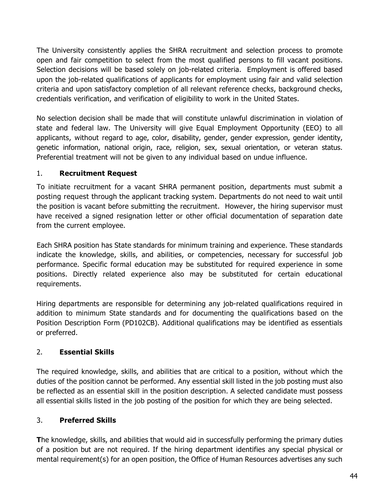The University consistently applies the SHRA recruitment and selection process to promote open and fair competition to select from the most qualified persons to fill vacant positions. Selection decisions will be based solely on job-related criteria. Employment is offered based upon the job-related qualifications of applicants for employment using fair and valid selection criteria and upon satisfactory completion of all relevant reference checks, background checks, credentials verification, and verification of eligibility to work in the United States.

No selection decision shall be made that will constitute unlawful discrimination in violation of state and federal law. The University will give Equal Employment Opportunity (EEO) to all applicants, without regard to age, color, disability, gender, gender expression, gender identity, genetic information, national origin, race, religion, sex, sexual orientation, or veteran status. Preferential treatment will not be given to any individual based on undue influence.

### 1. **Recruitment Request**

To initiate recruitment for a vacant SHRA permanent position, departments must submit a posting request through the applicant tracking system. Departments do not need to wait until the position is vacant before submitting the recruitment. However, the hiring supervisor must have received a signed resignation letter or other official documentation of separation date from the current employee.

Each SHRA position has State standards for minimum training and experience. These standards indicate the knowledge, skills, and abilities, or competencies, necessary for successful job performance. Specific formal education may be substituted for required experience in some positions. Directly related experience also may be substituted for certain educational requirements.

Hiring departments are responsible for determining any job-related qualifications required in addition to minimum State standards and for documenting the qualifications based on the Position Description Form (PD102CB). Additional qualifications may be identified as essentials or preferred.

### 2. **Essential Skills**

The required knowledge, skills, and abilities that are critical to a position, without which the duties of the position cannot be performed. Any essential skill listed in the job posting must also be reflected as an essential skill in the position description. A selected candidate must possess all essential skills listed in the job posting of the position for which they are being selected.

### 3. **Preferred Skills**

**T**he knowledge, skills, and abilities that would aid in successfully performing the primary duties of a position but are not required. If the hiring department identifies any special physical or mental requirement(s) for an open position, the Office of Human Resources advertises any such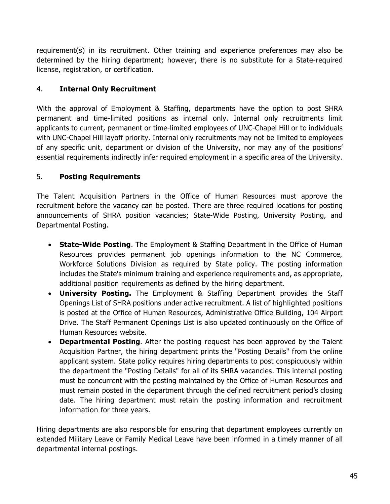requirement(s) in its recruitment. Other training and experience preferences may also be determined by the hiring department; however, there is no substitute for a State-required license, registration, or certification.

### 4. **Internal Only Recruitment**

With the approval of Employment & Staffing, departments have the option to post SHRA permanent and time-limited positions as internal only. Internal only recruitments limit applicants to current, permanent or time-limited employees of UNC-Chapel Hill or to individuals with UNC-Chapel Hill layoff priority. Internal only recruitments may not be limited to employees of any specific unit, department or division of the University, nor may any of the positions' essential requirements indirectly infer required employment in a specific area of the University.

#### 5. **Posting Requirements**

The Talent Acquisition Partners in the Office of Human Resources must approve the recruitment before the vacancy can be posted. There are three required locations for posting announcements of SHRA position vacancies; State-Wide Posting, University Posting, and Departmental Posting.

- **State-Wide Posting**. The Employment & Staffing Department in the Office of Human Resources provides permanent job openings information to the NC Commerce, Workforce Solutions Division as required by State policy. The posting information includes the State's minimum training and experience requirements and, as appropriate, additional position requirements as defined by the hiring department.
- **University Posting.** The Employment & Staffing Department provides the Staff Openings List of SHRA positions under active recruitment. A list of highlighted positions is posted at the Office of Human Resources, Administrative Office Building, 104 Airport Drive. The Staff Permanent Openings List is also updated continuously on the Office of Human Resources website.
- **Departmental Posting**. After the posting request has been approved by the Talent Acquisition Partner, the hiring department prints the "Posting Details" from the online applicant system. State policy requires hiring departments to post conspicuously within the department the "Posting Details" for all of its SHRA vacancies. This internal posting must be concurrent with the posting maintained by the Office of Human Resources and must remain posted in the department through the defined recruitment period's closing date. The hiring department must retain the posting information and recruitment information for three years.

Hiring departments are also responsible for ensuring that department employees currently on extended Military Leave or Family Medical Leave have been informed in a timely manner of all departmental internal postings.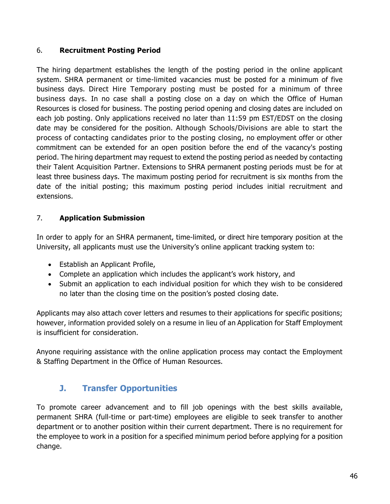#### 6. **Recruitment Posting Period**

The hiring department establishes the length of the posting period in the online applicant system. SHRA permanent or time-limited vacancies must be posted for a minimum of five business days. Direct Hire Temporary posting must be posted for a minimum of three business days. In no case shall a posting close on a day on which the Office of Human Resources is closed for business. The posting period opening and closing dates are included on each job posting. Only applications received no later than 11:59 pm EST/EDST on the closing date may be considered for the position. Although Schools/Divisions are able to start the process of contacting candidates prior to the posting closing, no employment offer or other commitment can be extended for an open position before the end of the vacancy's posting period. The hiring department may request to extend the posting period as needed by contacting their Talent Acquisition Partner. Extensions to SHRA permanent posting periods must be for at least three business days. The maximum posting period for recruitment is six months from the date of the initial posting; this maximum posting period includes initial recruitment and extensions.

#### 7. **Application Submission**

In order to apply for an SHRA permanent, time-limited, or direct hire temporary position at the University, all applicants must use the University's online applicant tracking system to:

- Establish an Applicant Profile,
- Complete an application which includes the applicant's work history, and
- Submit an application to each individual position for which they wish to be considered no later than the closing time on the position's posted closing date.

Applicants may also attach cover letters and resumes to their applications for specific positions; however, information provided solely on a resume in lieu of an Application for Staff Employment is insufficient for consideration.

Anyone requiring assistance with the online application process may contact the Employment & Staffing Department in the Office of Human Resources.

### <span id="page-45-0"></span>**J. Transfer Opportunities**

To promote career advancement and to fill job openings with the best skills available, permanent SHRA (full-time or part-time) employees are eligible to seek transfer to another department or to another position within their current department. There is no requirement for the employee to work in a position for a specified minimum period before applying for a position change.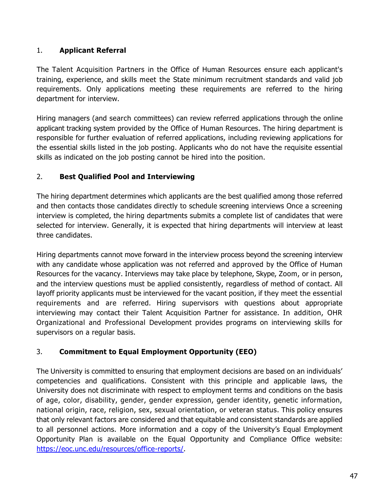### 1. **Applicant Referral**

The Talent Acquisition Partners in the Office of Human Resources ensure each applicant's training, experience, and skills meet the State minimum recruitment standards and valid job requirements. Only applications meeting these requirements are referred to the hiring department for interview.

Hiring managers (and search committees) can review referred applications through the online applicant tracking system provided by the Office of Human Resources. The hiring department is responsible for further evaluation of referred applications, including reviewing applications for the essential skills listed in the job posting. Applicants who do not have the requisite essential skills as indicated on the job posting cannot be hired into the position.

### 2. **Best Qualified Pool and Interviewing**

The hiring department determines which applicants are the best qualified among those referred and then contacts those candidates directly to schedule screening interviews Once a screening interview is completed, the hiring departments submits a complete list of candidates that were selected for interview. Generally, it is expected that hiring departments will interview at least three candidates.

Hiring departments cannot move forward in the interview process beyond the screening interview with any candidate whose application was not referred and approved by the Office of Human Resources for the vacancy. Interviews may take place by telephone, Skype, Zoom, or in person, and the interview questions must be applied consistently, regardless of method of contact. All layoff priority applicants must be interviewed for the vacant position, if they meet the essential requirements and are referred. Hiring supervisors with questions about appropriate interviewing may contact their Talent Acquisition Partner for assistance. In addition, OHR Organizational and Professional Development provides programs on interviewing skills for supervisors on a regular basis.

### 3. **Commitment to Equal Employment Opportunity (EEO)**

The University is committed to ensuring that employment decisions are based on an individuals' competencies and qualifications. Consistent with this principle and applicable laws, the University does not discriminate with respect to employment terms and conditions on the basis of age, color, disability, gender, gender expression, gender identity, genetic information, national origin, race, religion, sex, sexual orientation, or veteran status. This policy ensures that only relevant factors are considered and that equitable and consistent standards are applied to all personnel actions. More information and a copy of the University's Equal Employment Opportunity Plan is available on the Equal Opportunity and Compliance Office website: [https://eoc.unc.edu/resources/office-reports/.](https://eoc.unc.edu/resources/office-reports/)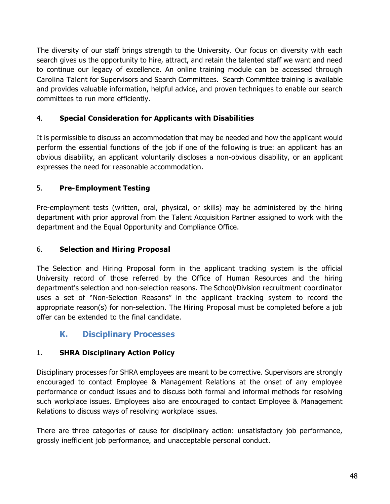The diversity of our staff brings strength to the University. Our focus on diversity with each search gives us the opportunity to hire, attract, and retain the talented staff we want and need to continue our legacy of excellence. An online training module can be accessed through Carolina Talent for Supervisors and Search Committees. Search Committee training is available and provides valuable information, helpful advice, and proven techniques to enable our search committees to run more efficiently.

### 4. **Special Consideration for Applicants with Disabilities**

It is permissible to discuss an accommodation that may be needed and how the applicant would perform the essential functions of the job if one of the following is true: an applicant has an obvious disability, an applicant voluntarily discloses a non-obvious disability, or an applicant expresses the need for reasonable accommodation.

### 5. **Pre-Employment Testing**

Pre-employment tests (written, oral, physical, or skills) may be administered by the hiring department with prior approval from the Talent Acquisition Partner assigned to work with the department and the Equal Opportunity and Compliance Office.

#### 6. **Selection and Hiring Proposal**

The Selection and Hiring Proposal form in the applicant tracking system is the official University record of those referred by the Office of Human Resources and the hiring department's selection and non-selection reasons. The School/Division recruitment coordinator uses a set of "Non-Selection Reasons" in the applicant tracking system to record the appropriate reason(s) for non-selection. The Hiring Proposal must be completed before a job offer can be extended to the final candidate.

## <span id="page-47-0"></span>**K. Disciplinary Processes**

#### 1. **SHRA Disciplinary Action Policy**

Disciplinary processes for SHRA employees are meant to be corrective. Supervisors are strongly encouraged to contact Employee & Management Relations at the onset of any employee performance or conduct issues and to discuss both formal and informal methods for resolving such workplace issues. Employees also are encouraged to contact Employee & Management Relations to discuss ways of resolving workplace issues.

There are three categories of cause for disciplinary action: unsatisfactory job performance, grossly inefficient job performance, and unacceptable personal conduct.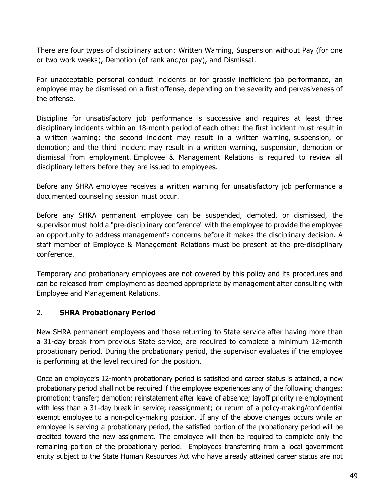There are four types of disciplinary action: Written Warning, Suspension without Pay (for one or two work weeks), Demotion (of rank and/or pay), and Dismissal.

For unacceptable personal conduct incidents or for grossly inefficient job performance, an employee may be dismissed on a first offense, depending on the severity and pervasiveness of the offense.

Discipline for unsatisfactory job performance is successive and requires at least three disciplinary incidents within an 18-month period of each other: the first incident must result in a written warning; the second incident may result in a written warning, suspension, or demotion; and the third incident may result in a written warning, suspension, demotion or dismissal from employment. Employee & Management Relations is required to review all disciplinary letters before they are issued to employees.

Before any SHRA employee receives a written warning for unsatisfactory job performance a documented counseling session must occur.

Before any SHRA permanent employee can be suspended, demoted, or dismissed, the supervisor must hold a "pre-disciplinary conference" with the employee to provide the employee an opportunity to address management's concerns before it makes the disciplinary decision. A staff member of Employee & Management Relations must be present at the pre-disciplinary conference.

Temporary and probationary employees are not covered by this policy and its procedures and can be released from employment as deemed appropriate by management after consulting with Employee and Management Relations.

#### 2. **SHRA Probationary Period**

New SHRA permanent employees and those returning to State service after having more than a 31-day break from previous State service, are required to complete a minimum 12-month probationary period. During the probationary period, the supervisor evaluates if the employee is performing at the level required for the position.

Once an employee's 12-month probationary period is satisfied and career status is attained, a new probationary period shall not be required if the employee experiences any of the following changes: promotion; transfer; demotion; reinstatement after leave of absence; layoff priority re-employment with less than a 31-day break in service; reassignment; or return of a policy-making/confidential exempt employee to a non-policy-making position. If any of the above changes occurs while an employee is serving a probationary period, the satisfied portion of the probationary period will be credited toward the new assignment. The employee will then be required to complete only the remaining portion of the probationary period. Employees transferring from a local government entity subject to the State Human Resources Act who have already attained career status are not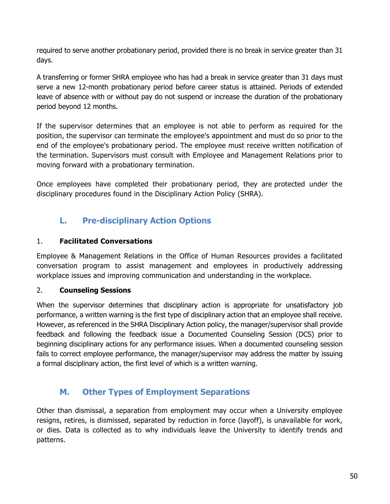required to serve another probationary period, provided there is no break in service greater than 31 days.

A transferring or former SHRA employee who has had a break in service greater than 31 days must serve a new 12-month probationary period before career status is attained. Periods of extended leave of absence with or without pay do not suspend or increase the duration of the probationary period beyond 12 months.

If the supervisor determines that an employee is not able to perform as required for the position, the supervisor can terminate the employee's appointment and must do so prior to the end of the employee's probationary period. The employee must receive written notification of the termination. Supervisors must consult with Employee and Management Relations prior to moving forward with a probationary termination.

Once employees have completed their probationary period, they are protected under the disciplinary procedures found in the [Disciplinary Action Policy \(SHRA\).](http://hr.unc.edu/policies-procedures-guidelines/spa-employee-policies/employee-relations/DA-SPA)

## <span id="page-49-0"></span>**L. Pre-disciplinary Action Options**

#### 1. **Facilitated Conversations**

Employee & Management Relations in the Office of Human Resources provides a facilitated conversation program to assist management and employees in productively addressing workplace issues and improving communication and understanding in the workplace.

#### 2. **Counseling Sessions**

When the supervisor determines that disciplinary action is appropriate for unsatisfactory job performance, a written warning is the first type of disciplinary action that an employee shall receive. However, as referenced in the SHRA Disciplinary Action policy, the manager/supervisor shall provide feedback and following the feedback issue a Documented Counseling Session (DCS) prior to beginning disciplinary actions for any performance issues. When a documented counseling session fails to correct employee performance, the manager/supervisor may address the matter by issuing a formal disciplinary action, the first level of which is a written warning.

### <span id="page-49-1"></span>**M. Other Types of Employment Separations**

Other than dismissal, a separation from employment may occur when a University employee resigns, retires, is dismissed, separated by reduction in force (layoff), is unavailable for work, or dies. Data is collected as to why individuals leave the University to identify trends and patterns.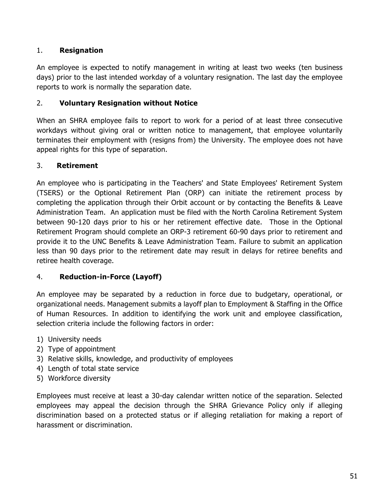#### 1. **Resignation**

An employee is expected to notify management in writing at least two weeks (ten business days) prior to the last intended workday of a voluntary resignation. The last day the employee reports to work is normally the separation date.

#### 2. **Voluntary Resignation without Notice**

When an SHRA employee fails to report to work for a period of at least three consecutive workdays without giving oral or written notice to management, that employee voluntarily terminates their employment with (resigns from) the University. The employee does not have appeal rights for this type of separation.

### 3. **Retirement**

An employee who is participating in the Teachers' and State Employees' Retirement System (TSERS) or the Optional Retirement Plan (ORP) can initiate the retirement process by completing the application through their Orbit account or by contacting the Benefits & Leave Administration Team. An application must be filed with the North Carolina Retirement System between 90-120 days prior to his or her retirement effective date. Those in the Optional Retirement Program should complete an ORP-3 retirement 60-90 days prior to retirement and provide it to the UNC Benefits & Leave Administration Team. Failure to submit an application less than 90 days prior to the retirement date may result in delays for retiree benefits and retiree health coverage.

### 4. **Reduction-in-Force (Layoff)**

An employee may be separated by a reduction in force due to budgetary, operational, or organizational needs. Management submits a layoff plan to Employment & Staffing in the Office of Human Resources. In addition to identifying the work unit and employee classification, selection criteria include the following factors in order:

- 1) University needs
- 2) Type of appointment
- 3) Relative skills, knowledge, and productivity of employees
- 4) Length of total state service
- 5) Workforce diversity

Employees must receive at least a 30-day calendar written notice of the separation. Selected employees may appeal the decision through the SHRA Grievance Policy only if alleging discrimination based on a protected status or if alleging retaliation for making a report of harassment or discrimination.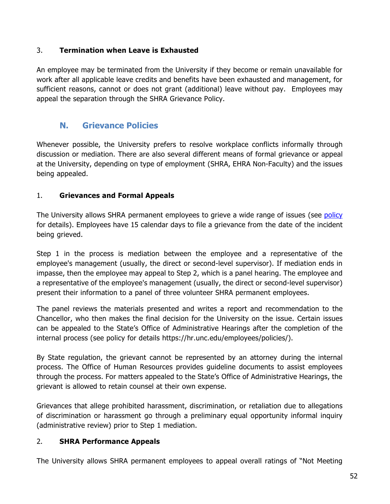#### 3. **Termination when Leave is Exhausted**

An employee may be terminated from the University if they become or remain unavailable for work after all applicable leave credits and benefits have been exhausted and management, for sufficient reasons, cannot or does not grant (additional) leave without pay. Employees may appeal the separation through the SHRA Grievance Policy.

### <span id="page-51-0"></span>**N. Grievance Policies**

Whenever possible, the University prefers to resolve workplace conflicts informally through discussion or mediation. There are also several different means of formal grievance or appeal at the University, depending on type of employment (SHRA, EHRA Non-Faculty) and the issues being appealed.

### 1. **Grievances and Formal Appeals**

The University allows SHRA permanent employees to grieve a wide range of issues (see [policy](http://hr.unc.edu/files/2012/11/SPA-GRIEVE-POLICY.pdf) for details). Employees have 15 calendar days to file a grievance from the date of the incident being grieved.

Step 1 in the process is mediation between the employee and a representative of the employee's management (usually, the direct or second-level supervisor). If mediation ends in impasse, then the employee may appeal to Step 2, which is a panel hearing. The employee and a representative of the employee's management (usually, the direct or second-level supervisor) present their information to a panel of three volunteer SHRA permanent employees.

The panel reviews the materials presented and writes a report and recommendation to the Chancellor, who then makes the final decision for the University on the issue. Certain issues can be appealed to the State's Office of Administrative Hearings after the completion of the internal process (see policy for details https://hr.unc.edu/employees/policies/).

By State regulation, the grievant cannot be represented by an attorney during the internal process. The Office of Human Resources provides guideline documents to assist employees through the process. For matters appealed to the State's Office of Administrative Hearings, the grievant is allowed to retain counsel at their own expense.

Grievances that allege prohibited harassment, discrimination, or retaliation due to allegations of discrimination or harassment go through a preliminary equal opportunity informal inquiry (administrative review) prior to Step 1 mediation.

#### 2. **SHRA Performance Appeals**

The University allows SHRA permanent employees to appeal overall ratings of "Not Meeting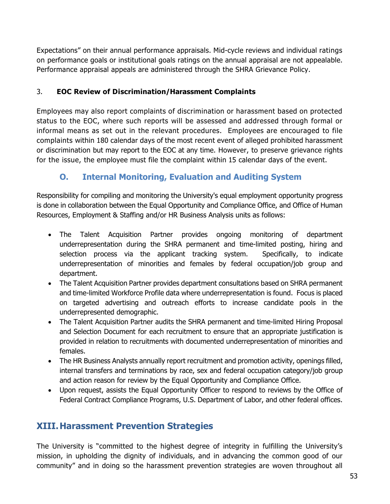Expectations" on their annual performance appraisals. Mid-cycle reviews and individual ratings on performance goals or institutional goals ratings on the annual appraisal are not appealable. Performance appraisal appeals are administered through the SHRA Grievance Policy.

#### 3. **EOC Review of Discrimination/Harassment Complaints**

Employees may also report complaints of discrimination or harassment based on protected status to the EOC, where such reports will be assessed and addressed through formal or informal means as set out in the relevant procedures. Employees are encouraged to file complaints within 180 calendar days of the most recent event of alleged prohibited harassment or discrimination but may report to the EOC at any time. However, to preserve grievance rights for the issue, the employee must file the complaint within 15 calendar days of the event.

## <span id="page-52-0"></span>**O. Internal Monitoring, Evaluation and Auditing System**

Responsibility for compiling and monitoring the University's equal employment opportunity progress is done in collaboration between the Equal Opportunity and Compliance Office, and Office of Human Resources, Employment & Staffing and/or HR Business Analysis units as follows:

- The Talent Acquisition Partner provides ongoing monitoring of department underrepresentation during the SHRA permanent and time-limited posting, hiring and selection process via the applicant tracking system. Specifically, to indicate underrepresentation of minorities and females by federal occupation/job group and department.
- The Talent Acquisition Partner provides department consultations based on SHRA permanent and time-limited Workforce Profile data where underrepresentation is found. Focus is placed on targeted advertising and outreach efforts to increase candidate pools in the underrepresented demographic.
- The Talent Acquisition Partner audits the SHRA permanent and time-limited Hiring Proposal and Selection Document for each recruitment to ensure that an appropriate justification is provided in relation to recruitments with documented underrepresentation of minorities and females.
- The HR Business Analysts annually report recruitment and promotion activity, openings filled, internal transfers and terminations by race, sex and federal occupation category/job group and action reason for review by the Equal Opportunity and Compliance Office.
- Upon request, assists the Equal Opportunity Officer to respond to reviews by the Office of Federal Contract Compliance Programs, U.S. Department of Labor, and other federal offices.

## <span id="page-52-1"></span>**XIII.Harassment Prevention Strategies**

The University is "committed to the highest degree of integrity in fulfilling the University's mission, in upholding the dignity of individuals, and in advancing the common good of our community" and in doing so the harassment prevention strategies are woven throughout all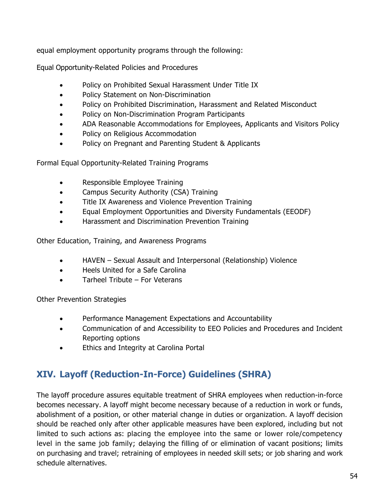equal employment opportunity programs through the following:

Equal Opportunity-Related Policies and Procedures

- Policy on Prohibited Sexual Harassment Under Title IX
- Policy Statement on Non-Discrimination
- Policy on Prohibited Discrimination, Harassment and Related Misconduct
- Policy on Non-Discrimination Program Participants
- ADA Reasonable Accommodations for Employees, Applicants and Visitors Policy
- Policy on Religious Accommodation
- Policy on Pregnant and Parenting Student & Applicants

Formal Equal Opportunity-Related Training Programs

- Responsible Employee Training
- Campus Security Authority (CSA) Training
- Title IX Awareness and Violence Prevention Training
- Equal Employment Opportunities and Diversity Fundamentals (EEODF)
- Harassment and Discrimination Prevention Training

Other Education, Training, and Awareness Programs

- HAVEN Sexual Assault and Interpersonal (Relationship) Violence
- Heels United for a Safe Carolina
- Tarheel Tribute For Veterans

Other Prevention Strategies

- Performance Management Expectations and Accountability
- Communication of and Accessibility to EEO Policies and Procedures and Incident Reporting options
- Ethics and Integrity at Carolina Portal

## <span id="page-53-0"></span>**XIV. Layoff (Reduction-In-Force) Guidelines (SHRA)**

The layoff procedure assures equitable treatment of SHRA employees when reduction-in-force becomes necessary. A layoff might become necessary because of a reduction in work or funds, abolishment of a position, or other material change in duties or organization. A layoff decision should be reached only after other applicable measures have been explored, including but not limited to such actions as: placing the employee into the same or lower role/competency level in the same job family; delaying the filling of or elimination of vacant positions; limits on purchasing and travel; retraining of employees in needed skill sets; or job sharing and work schedule alternatives.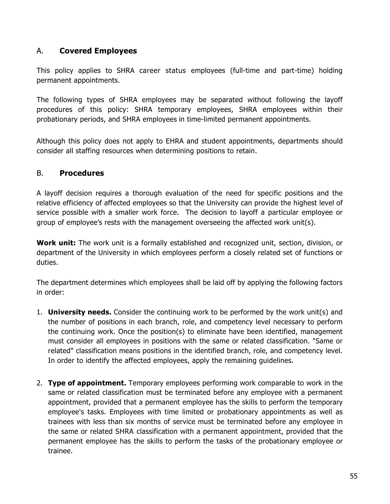#### A. **Covered Employees**

This policy applies to SHRA career status employees (full-time and part-time) holding permanent appointments.

The following types of SHRA employees may be separated without following the layoff procedures of this policy: SHRA temporary employees, SHRA employees within their probationary periods, and SHRA employees in time-limited permanent appointments.

Although this policy does not apply to EHRA and student appointments, departments should consider all staffing resources when determining positions to retain.

### B. **Procedures**

A layoff decision requires a thorough evaluation of the need for specific positions and the relative efficiency of affected employees so that the University can provide the highest level of service possible with a smaller work force. The decision to layoff a particular employee or group of employee's rests with the management overseeing the affected work unit(s).

**Work unit:** The work unit is a formally established and recognized unit, section, division, or department of the University in which employees perform a closely related set of functions or duties.

The department determines which employees shall be laid off by applying the following factors in order:

- 1. **University needs.** Consider the continuing work to be performed by the work unit(s) and the number of positions in each branch, role, and competency level necessary to perform the continuing work. Once the position(s) to eliminate have been identified, management must consider all employees in positions with the same or related classification. "Same or related" classification means positions in the identified branch, role, and competency level. In order to identify the affected employees, apply the remaining guidelines.
- 2. **Type of appointment.** Temporary employees performing work comparable to work in the same or related classification must be terminated before any employee with a permanent appointment, provided that a permanent employee has the skills to perform the temporary employee's tasks. Employees with time limited or probationary appointments as well as trainees with less than six months of service must be terminated before any employee in the same or related SHRA classification with a permanent appointment, provided that the permanent employee has the skills to perform the tasks of the probationary employee or trainee.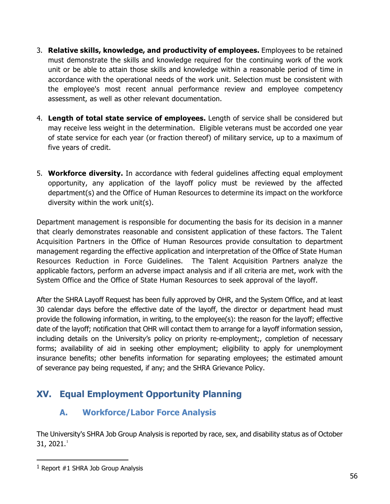- 3. **Relative skills, knowledge, and productivity of employees.** Employees to be retained must demonstrate the skills and knowledge required for the continuing work of the work unit or be able to attain those skills and knowledge within a reasonable period of time in accordance with the operational needs of the work unit. Selection must be consistent with the employee's most recent annual performance review and employee competency assessment, as well as other relevant documentation.
- 4. **Length of total state service of employees.** Length of service shall be considered but may receive less weight in the determination. Eligible veterans must be accorded one year of state service for each year (or fraction thereof) of military service, up to a maximum of five years of credit.
- 5. **Workforce diversity.** In accordance with federal guidelines affecting equal employment opportunity, any application of the layoff policy must be reviewed by the affected department(s) and the Office of Human Resources to determine its impact on the workforce diversity within the work unit(s).

Department management is responsible for documenting the basis for its decision in a manner that clearly demonstrates reasonable and consistent application of these factors. The Talent Acquisition Partners in the Office of Human Resources provide consultation to department management regarding the effective application and interpretation of the Office of State Human Resources Reduction in Force Guidelines. The Talent Acquisition Partners analyze the applicable factors, perform an adverse impact analysis and if all criteria are met, work with the System Office and the Office of State Human Resources to seek approval of the layoff.

After the SHRA Layoff Request has been fully approved by OHR, and the System Office, and at least 30 calendar days before the effective date of the layoff, the director or department head must provide the following information, in writing, to the employee(s): the reason for the layoff; effective date of the layoff; notification that OHR will contact them to arrange for a layoff information session, including details on the University's policy on priority re-employment;, completion of necessary forms; availability of aid in seeking other employment; eligibility to apply for unemployment insurance benefits; other benefits information for separating employees; the estimated amount of severance pay being requested, if any; and the SHRA Grievance Policy.

## <span id="page-55-1"></span><span id="page-55-0"></span>**XV. Equal Employment Opportunity Planning**

## **A. Workforce/Labor Force Analysis**

The University's SHRA Job Group Analysis is reported by race, sex, and disability status as of October 3[1](#page-55-2), 2021. $^1$ 

<span id="page-55-2"></span><sup>1</sup> Report #1 SHRA Job Group Analysis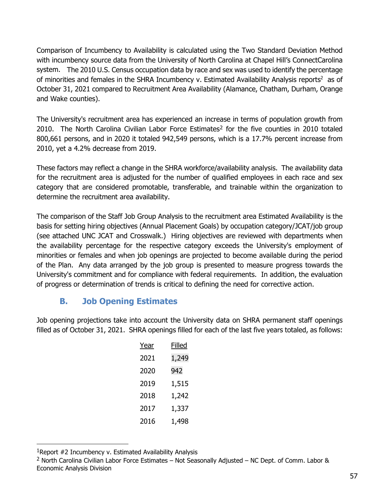Comparison of Incumbency to Availability is calculated using the Two Standard Deviation Method with incumbency source data from the University of North Carolina at Chapel Hill's ConnectCarolina system. The 2010 U.S. Census occupation data by race and sex was used to identify the percentage of minorities and females in the SHRA Incumbency v. Estimated Availability Analysis reports<sup>2</sup> as of October 31, 2021 compared to Recruitment Area Availability (Alamance, Chatham, Durham, Orange and Wake counties).

The University's recruitment area has experienced an increase in terms of population growth from 2010. The North Carolina Civilian Labor Force Estimates<sup>2</sup> for the five counties in 2010 totaled 800,661 persons, and in 2020 it totaled 942,549 persons, which is a 17.7% percent increase from 2010, yet a 4.2% decrease from 2019.

These factors may reflect a change in the SHRA workforce/availability analysis. The availability data for the recruitment area is adjusted for the number of qualified employees in each race and sex category that are considered promotable, transferable, and trainable within the organization to determine the recruitment area availability.

The comparison of the Staff Job Group Analysis to the recruitment area Estimated Availability is the basis for setting hiring objectives (Annual Placement Goals) by occupation category/JCAT/job group (see attached UNC JCAT and Crosswalk.) Hiring objectives are reviewed with departments when the availability percentage for the respective category exceeds the University's employment of minorities or females and when job openings are projected to become available during the period of the Plan.Any data arranged by the job group is presented to measure progress towards the University's commitment and for compliance with federal requirements. In addition, the evaluation of progress or determination of trends is critical to defining the need for corrective action.

### <span id="page-56-0"></span>**B. Job Opening Estimates**

Job opening projections take into account the University data on SHRA permanent staff openings filled as of October 31, 2021. SHRA openings filled for each of the last five years totaled, as follows:

| Year | Filled |
|------|--------|
| 2021 | 1,249  |
| 2020 | 942    |
| 2019 | 1,515  |
| 2018 | 1,242  |
| 2017 | 1,337  |
| 2016 | 1,498  |

<span id="page-56-1"></span><sup>1</sup>Report #2 Incumbency v. Estimated Availability Analysis

<span id="page-56-2"></span><sup>&</sup>lt;sup>2</sup> North Carolina Civilian Labor Force Estimates – Not Seasonally Adjusted – NC Dept. of Comm. Labor & Economic Analysis Division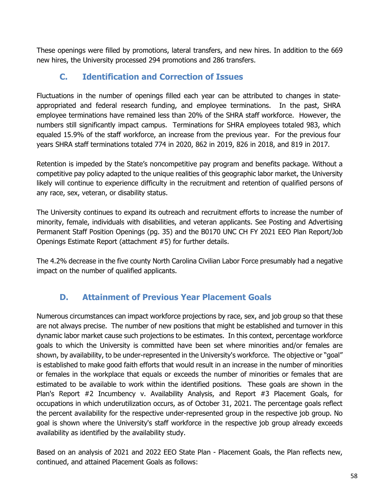<span id="page-57-0"></span>These openings were filled by promotions, lateral transfers, and new hires. In addition to the 669 new hires, the University processed 294 promotions and 286 transfers.

## **C. Identification and Correction of Issues**

Fluctuations in the number of openings filled each year can be attributed to changes in stateappropriated and federal research funding, and employee terminations. In the past, SHRA employee terminations have remained less than 20% of the SHRA staff workforce. However, the numbers still significantly impact campus. Terminations for SHRA employees totaled 983, which equaled 15.9% of the staff workforce, an increase from the previous year. For the previous four years SHRA staff terminations totaled 774 in 2020, 862 in 2019, 826 in 2018, and 819 in 2017.

Retention is impeded by the State's noncompetitive pay program and benefits package. Without a competitive pay policy adapted to the unique realities of this geographic labor market, the University likely will continue to experience difficulty in the recruitment and retention of qualified persons of any race, sex, veteran, or disability status.

The University continues to expand its outreach and recruitment efforts to increase the number of minority, female, individuals with disabilities, and veteran applicants. See Posting and Advertising Permanent Staff Position Openings (pg. 35) and the B0170 UNC CH FY 2021 EEO Plan Report/Job Openings Estimate Report (attachment #5) for further details.

The 4.2% decrease in the five county North Carolina Civilian Labor Force presumably had a negative impact on the number of qualified applicants.

## <span id="page-57-1"></span>**D. Attainment of Previous Year Placement Goals**

Numerous circumstances can impact workforce projections by race, sex, and job group so that these are not always precise. The number of new positions that might be established and turnover in this dynamic labor market cause such projections to be estimates. In this context, percentage workforce goals to which the University is committed have been set where minorities and/or females are shown, by availability, to be under-represented in the University's workforce. The objective or "goal" is established to make good faith efforts that would result in an increase in the number of minorities or females in the workplace that equals or exceeds the number of minorities or females that are estimated to be available to work within the identified positions. These goals are shown in the Plan's Report #2 Incumbency v. Availability Analysis, and Report #3 Placement Goals, for occupations in which underutilization occurs, as of October 31, 2021. The percentage goals reflect the percent availability for the respective under-represented group in the respective job group. No goal is shown where the University's staff workforce in the respective job group already exceeds availability as identified by the availability study.

Based on an analysis of 2021 and 2022 EEO State Plan - Placement Goals, the Plan reflects new, continued, and attained Placement Goals as follows: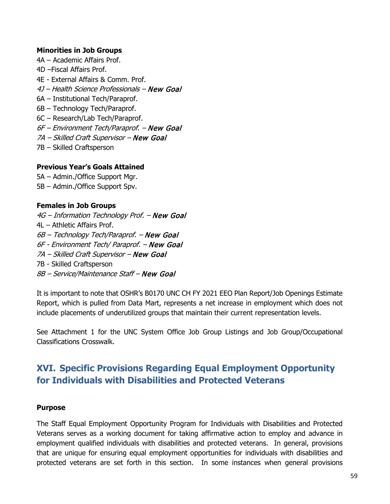#### **Minorities in Job Groups**

4A – Academic Affairs Prof. 4D –Fiscal Affairs Prof. 4E - External Affairs & Comm. Prof. 4J – Health Science Professionals – New Goal 6A – Institutional Tech/Paraprof. 6B – Technology Tech/Paraprof. 6C – Research/Lab Tech/Paraprof. 6F – Environment Tech/Paraprof. – New Goal 7A – Skilled Craft Supervisor – New Goal 7B – Skilled Craftsperson

#### **Previous Year's Goals Attained**

5A – Admin./Office Support Mgr. 5B – Admin./Office Support Spv.

#### **Females in Job Groups**

4G – Information Technology Prof. – New Goal 4L – Athletic Affairs Prof. 6B – Technology Tech/Paraprof. – New Goal 6F - Environment Tech/ Paraprof. – New Goal 7A – Skilled Craft Supervisor – New Goal 7B - Skilled Craftsperson 8B – Service/Maintenance Staff – New Goal

It is important to note that OSHR's B0170 UNC CH FY 2021 EEO Plan Report/Job Openings Estimate Report, which is pulled from Data Mart, represents a net increase in employment which does not include placements of underutilized groups that maintain their current representation levels.

See Attachment 1 for the UNC System Office Job Group Listings and Job Group/Occupational Classifications Crosswalk.

## <span id="page-58-0"></span>**XVI. Specific Provisions Regarding Equal Employment Opportunity for Individuals with Disabilities and Protected Veterans**

#### **Purpose**

The Staff Equal Employment Opportunity Program for Individuals with Disabilities and Protected Veterans serves as a working document for taking affirmative action to employ and advance in employment qualified individuals with disabilities and protected veterans. In general, provisions that are unique for ensuring equal employment opportunities for individuals with disabilities and protected veterans are set forth in this section. In some instances when general provisions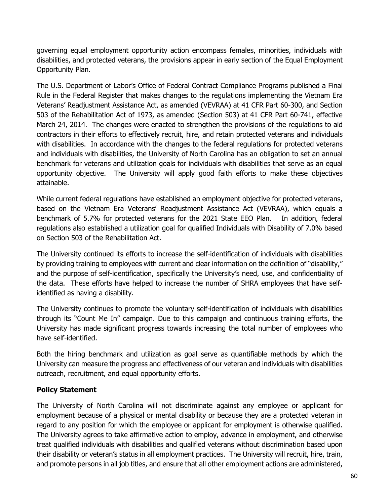governing equal employment opportunity action encompass females, minorities, individuals with disabilities, and protected veterans, the provisions appear in early section of the Equal Employment Opportunity Plan.

The U.S. Department of Labor's Office of Federal Contract Compliance Programs published a Final Rule in the Federal Register that makes changes to the regulations implementing the Vietnam Era Veterans' Readjustment Assistance Act, as amended (VEVRAA) at 41 CFR Part 60-300, and Section 503 of the Rehabilitation Act of 1973, as amended (Section 503) at 41 CFR Part 60-741, effective March 24, 2014. The changes were enacted to strengthen the provisions of the regulations to aid contractors in their efforts to effectively recruit, hire, and retain protected veterans and individuals with disabilities. In accordance with the changes to the federal regulations for protected veterans and individuals with disabilities, the University of North Carolina has an obligation to set an annual benchmark for veterans and utilization goals for individuals with disabilities that serve as an equal opportunity objective. The University will apply good faith efforts to make these objectives attainable.

While current federal regulations have established an employment objective for protected veterans, based on the Vietnam Era Veterans' Readjustment Assistance Act (VEVRAA), which equals a benchmark of 5.7% for protected veterans for the 2021 State EEO Plan. In addition, federal regulations also established a utilization goal for qualified Individuals with Disability of 7.0% based on Section 503 of the Rehabilitation Act.

The University continued its efforts to increase the self-identification of individuals with disabilities by providing training to employees with current and clear information on the definition of "disability," and the purpose of self-identification, specifically the University's need, use, and confidentiality of the data. These efforts have helped to increase the number of SHRA employees that have selfidentified as having a disability.

The University continues to promote the voluntary self-identification of individuals with disabilities through its "Count Me In" campaign. Due to this campaign and continuous training efforts, the University has made significant progress towards increasing the total number of employees who have self-identified.

Both the hiring benchmark and utilization as goal serve as quantifiable methods by which the University can measure the progress and effectiveness of our veteran and individuals with disabilities outreach, recruitment, and equal opportunity efforts.

#### **Policy Statement**

The University of North Carolina will not discriminate against any employee or applicant for employment because of a physical or mental disability or because they are a protected veteran in regard to any position for which the employee or applicant for employment is otherwise qualified. The University agrees to take affirmative action to employ, advance in employment, and otherwise treat qualified individuals with disabilities and qualified veterans without discrimination based upon their disability or veteran's status in all employment practices. The University will recruit, hire, train, and promote persons in all job titles, and ensure that all other employment actions are administered,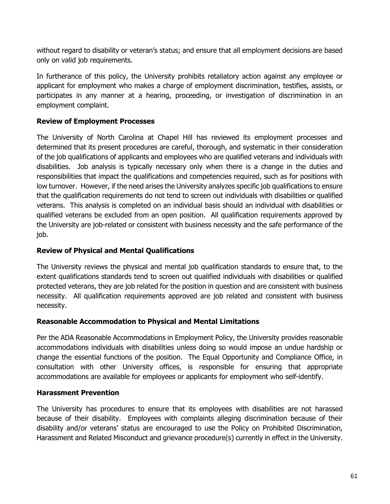without regard to disability or veteran's status; and ensure that all employment decisions are based only on valid job requirements.

In furtherance of this policy, the University prohibits retaliatory action against any employee or applicant for employment who makes a charge of employment discrimination, testifies, assists, or participates in any manner at a hearing, proceeding, or investigation of discrimination in an employment complaint.

#### **Review of Employment Processes**

The University of North Carolina at Chapel Hill has reviewed its employment processes and determined that its present procedures are careful, thorough, and systematic in their consideration of the job qualifications of applicants and employees who are qualified veterans and individuals with disabilities. Job analysis is typically necessary only when there is a change in the duties and responsibilities that impact the qualifications and competencies required, such as for positions with low turnover. However, if the need arises the University analyzes specific job qualifications to ensure that the qualification requirements do not tend to screen out individuals with disabilities or qualified veterans. This analysis is completed on an individual basis should an individual with disabilities or qualified veterans be excluded from an open position. All qualification requirements approved by the University are job-related or consistent with business necessity and the safe performance of the job.

#### **Review of Physical and Mental Qualifications**

The University reviews the physical and mental job qualification standards to ensure that, to the extent qualifications standards tend to screen out qualified individuals with disabilities or qualified protected veterans, they are job related for the position in question and are consistent with business necessity. All qualification requirements approved are job related and consistent with business necessity.

#### **Reasonable Accommodation to Physical and Mental Limitations**

Per the ADA Reasonable Accommodations in Employment Policy, the University provides reasonable accommodations individuals with disabilities unless doing so would impose an undue hardship or change the essential functions of the position. The Equal Opportunity and Compliance Office, in consultation with other University offices, is responsible for ensuring that appropriate accommodations are available for employees or applicants for employment who self-identify.

#### **Harassment Prevention**

The University has procedures to ensure that its employees with disabilities are not harassed because of their disability. Employees with complaints alleging discrimination because of their disability and/or veterans' status are encouraged to use the Policy on Prohibited Discrimination, Harassment and Related Misconduct and grievance procedure(s) currently in effect in the University.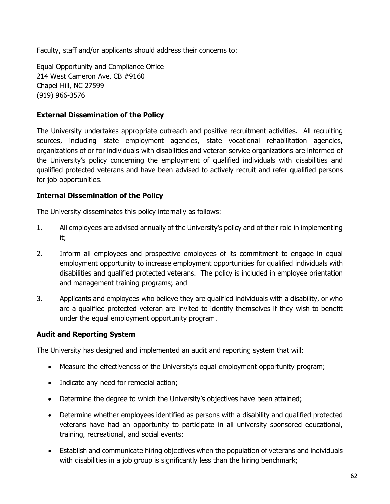Faculty, staff and/or applicants should address their concerns to:

Equal Opportunity and Compliance Office 214 West Cameron Ave, CB #9160 Chapel Hill, NC 27599 (919) 966-3576

#### **External Dissemination of the Policy**

The University undertakes appropriate outreach and positive recruitment activities. All recruiting sources, including state employment agencies, state vocational rehabilitation agencies, organizations of or for individuals with disabilities and veteran service organizations are informed of the University's policy concerning the employment of qualified individuals with disabilities and qualified protected veterans and have been advised to actively recruit and refer qualified persons for job opportunities.

#### **Internal Dissemination of the Policy**

The University disseminates this policy internally as follows:

- 1. All employees are advised annually of the University's policy and of their role in implementing it;
- 2. Inform all employees and prospective employees of its commitment to engage in equal employment opportunity to increase employment opportunities for qualified individuals with disabilities and qualified protected veterans. The policy is included in employee orientation and management training programs; and
- 3. Applicants and employees who believe they are qualified individuals with a disability, or who are a qualified protected veteran are invited to identify themselves if they wish to benefit under the equal employment opportunity program.

#### **Audit and Reporting System**

The University has designed and implemented an audit and reporting system that will:

- Measure the effectiveness of the University's equal employment opportunity program;
- Indicate any need for remedial action;
- Determine the degree to which the University's objectives have been attained;
- Determine whether employees identified as persons with a disability and qualified protected veterans have had an opportunity to participate in all university sponsored educational, training, recreational, and social events;
- Establish and communicate hiring objectives when the population of veterans and individuals with disabilities in a job group is significantly less than the hiring benchmark;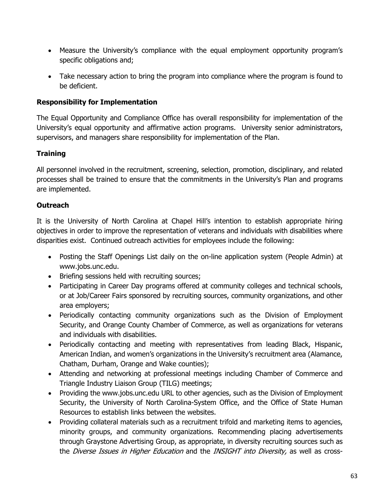- Measure the University's compliance with the equal employment opportunity program's specific obligations and;
- Take necessary action to bring the program into compliance where the program is found to be deficient.

#### **Responsibility for Implementation**

The Equal Opportunity and Compliance Office has overall responsibility for implementation of the University's equal opportunity and affirmative action programs. University senior administrators, supervisors, and managers share responsibility for implementation of the Plan.

### **Training**

All personnel involved in the recruitment, screening, selection, promotion, disciplinary, and related processes shall be trained to ensure that the commitments in the University's Plan and programs are implemented.

#### **Outreach**

It is the University of North Carolina at Chapel Hill's intention to establish appropriate hiring objectives in order to improve the representation of veterans and individuals with disabilities where disparities exist. Continued outreach activities for employees include the following:

- Posting the Staff Openings List daily on the on-line application system (People Admin) at www.jobs.unc.edu.
- Briefing sessions held with recruiting sources;
- Participating in Career Day programs offered at community colleges and technical schools, or at Job/Career Fairs sponsored by recruiting sources, community organizations, and other area employers;
- Periodically contacting community organizations such as the Division of Employment Security, and Orange County Chamber of Commerce, as well as organizations for veterans and individuals with disabilities.
- Periodically contacting and meeting with representatives from leading Black, Hispanic, American Indian, and women's organizations in the University's recruitment area (Alamance, Chatham, Durham, Orange and Wake counties);
- Attending and networking at professional meetings including Chamber of Commerce and Triangle Industry Liaison Group (TILG) meetings;
- Providing the www.jobs.unc.edu URL to other agencies, such as the Division of Employment Security, the University of North Carolina-System Office, and the Office of State Human Resources to establish links between the websites.
- Providing collateral materials such as a recruitment trifold and marketing items to agencies, minority groups, and community organizations. Recommending placing advertisements through Graystone Advertising Group, as appropriate, in diversity recruiting sources such as the Diverse Issues in Higher Education and the INSIGHT into Diversity, as well as cross-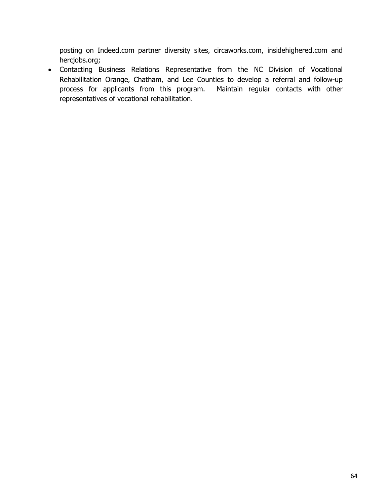posting on Indeed.com partner diversity sites, circaworks.com, insidehighered.com and hercjobs.org;

• Contacting Business Relations Representative from the NC Division of Vocational Rehabilitation Orange, Chatham, and Lee Counties to develop a referral and follow-up process for applicants from this program. Maintain regular contacts with other process for applicants from this program. representatives of vocational rehabilitation.